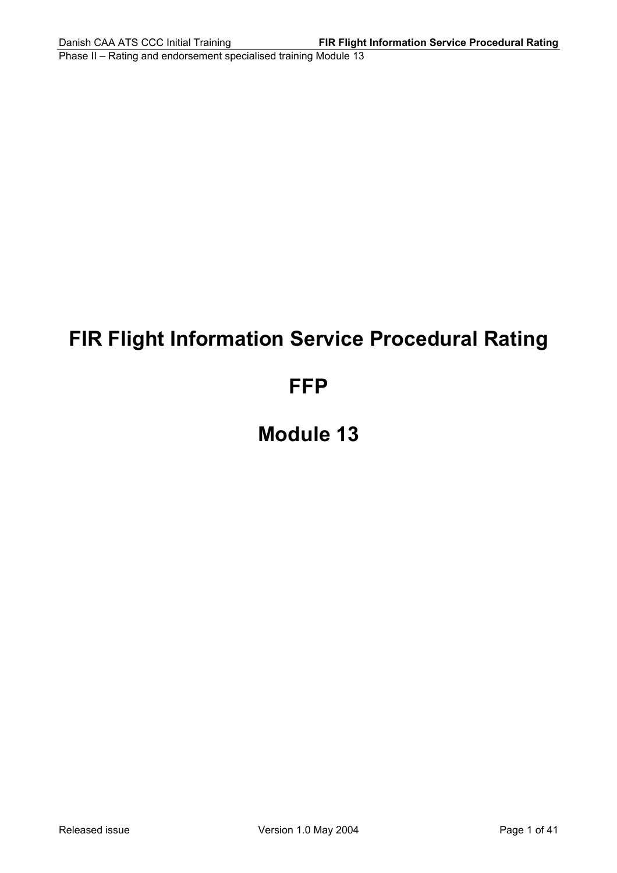# **FIR Flight Information Service Procedural Rating**

## **FFP**

## **Module 13**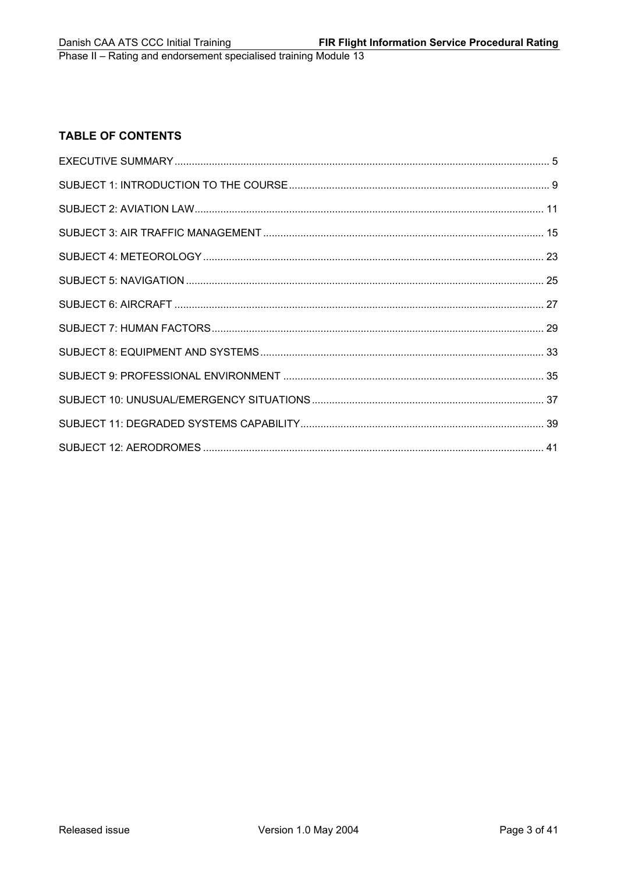### **TABLE OF CONTENTS**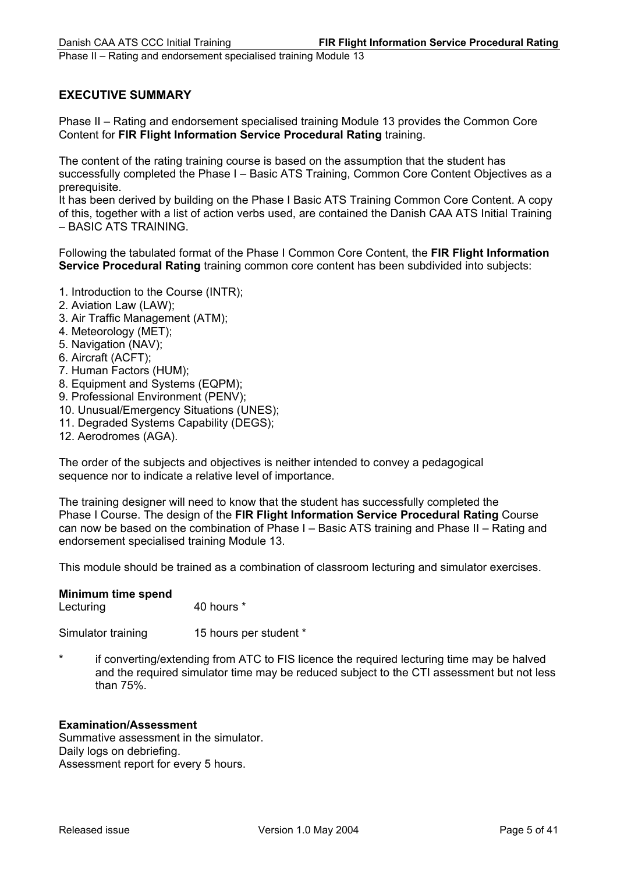#### **EXECUTIVE SUMMARY**

Phase II – Rating and endorsement specialised training Module 13 provides the Common Core Content for **FIR Flight Information Service Procedural Rating** training.

The content of the rating training course is based on the assumption that the student has successfully completed the Phase I – Basic ATS Training, Common Core Content Objectives as a prerequisite.

It has been derived by building on the Phase I Basic ATS Training Common Core Content. A copy of this, together with a list of action verbs used, are contained the Danish CAA ATS Initial Training – BASIC ATS TRAINING.

Following the tabulated format of the Phase I Common Core Content, the **FIR Flight Information Service Procedural Rating** training common core content has been subdivided into subjects:

- 1. Introduction to the Course (INTR);
- 2. Aviation Law (LAW);
- 3. Air Traffic Management (ATM);
- 4. Meteorology (MET);
- 5. Navigation (NAV);
- 6. Aircraft (ACFT);
- 7. Human Factors (HUM);
- 8. Equipment and Systems (EQPM);
- 9. Professional Environment (PENV);
- 10. Unusual/Emergency Situations (UNES);
- 11. Degraded Systems Capability (DEGS);
- 12. Aerodromes (AGA).

The order of the subjects and objectives is neither intended to convey a pedagogical sequence nor to indicate a relative level of importance.

The training designer will need to know that the student has successfully completed the Phase I Course. The design of the **FIR Flight Information Service Procedural Rating** Course can now be based on the combination of Phase I – Basic ATS training and Phase II – Rating and endorsement specialised training Module 13.

This module should be trained as a combination of classroom lecturing and simulator exercises.

#### **Minimum time spend**

Lecturing 40 hours \*

Simulator training 15 hours per student \*

\* if converting/extending from ATC to FIS licence the required lecturing time may be halved and the required simulator time may be reduced subject to the CTI assessment but not less than 75%.

#### **Examination/Assessment**

Summative assessment in the simulator. Daily logs on debriefing. Assessment report for every 5 hours.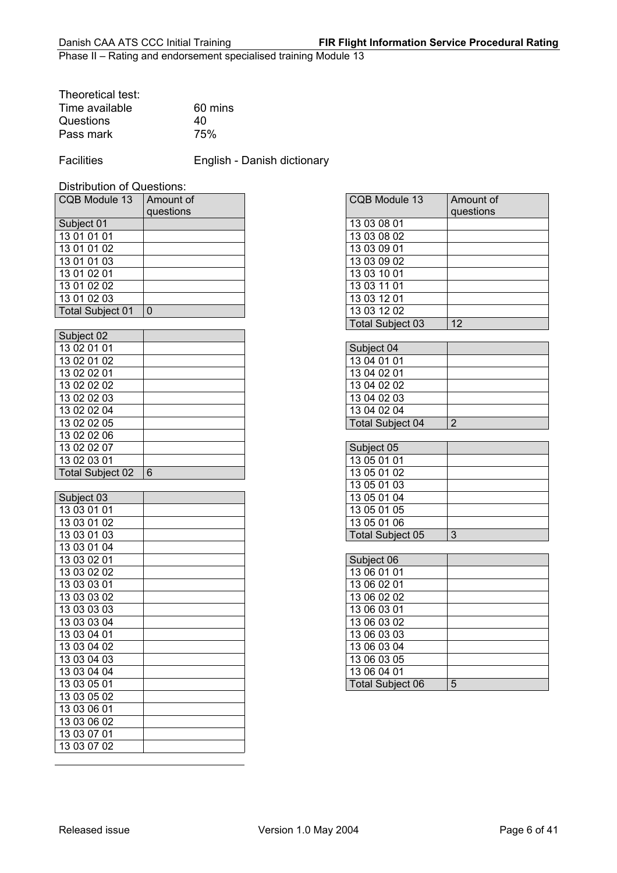| Theoretical test: |         |
|-------------------|---------|
| Time available    | 60 mins |
| Questions         | 40      |
| Pass mark         | 75%     |

#### Facilities English - Danish dictionary

#### Distribution of Questions:

| CQB Module 13           | Amount of<br>questions | <b>CQB Modul</b> |
|-------------------------|------------------------|------------------|
| Subject 01              |                        | 13 03 08 01      |
| 13 01 01 01             |                        | 13 03 08 02      |
| 13 01 01 02             |                        | 13 03 09 01      |
| 13 01 01 03             |                        | 13 03 09 02      |
| 13 01 02 01             |                        | 13 03 10 01      |
| 13 01 02 02             |                        | 13 03 11 01      |
| 13 01 02 03             |                        | 13 03 12 01      |
| <b>Total Subject 01</b> | $\Omega$               | 13 03 12 02      |

| Subject 02              |   |                         |
|-------------------------|---|-------------------------|
| 13 02 01 01             |   | Subject 04              |
| 13 02 01 02             |   | 13 04 01 01             |
| 13 02 02 01             |   | 13 04 02 01             |
| 13 02 02 02             |   | 13 04 02 02             |
| 13 02 02 03             |   | 13 04 02 03             |
| 13 02 02 04             |   | 13 04 02 04             |
| 13 02 02 05             |   | <b>Total Subject 04</b> |
| 13 02 02 06             |   |                         |
| 13 02 02 07             |   | Subject 05              |
| 13 02 03 01             |   | 13 05 01 01             |
| <b>Total Subject 02</b> | 6 | 13 05 01 02             |

| Subject 03  |  | 13 05 01 04             |   |
|-------------|--|-------------------------|---|
| 13 03 01 01 |  | 13 05 01 05             |   |
| 13 03 01 02 |  | 13 05 01 06             |   |
| 13 03 01 03 |  | <b>Total Subject 05</b> | 3 |
| 13 03 01 04 |  |                         |   |
| 13 03 02 01 |  | Subject 06              |   |
| 13 03 02 02 |  | 13 06 01 01             |   |
| 13 03 03 01 |  | 13 06 02 01             |   |
| 13 03 03 02 |  | 13 06 02 02             |   |
| 13 03 03 03 |  | 13 06 03 01             |   |
| 13 03 03 04 |  | 13 06 03 02             |   |
| 13 03 04 01 |  | 13 06 03 03             |   |
| 13 03 04 02 |  | 13 06 03 04             |   |
| 13 03 04 03 |  | 13 06 03 05             |   |
| 13 03 04 04 |  | 13 06 04 01             |   |
| 13 03 05 01 |  | <b>Total Subject 06</b> | 5 |
| 13 03 05 02 |  |                         |   |
| 13 03 06 01 |  |                         |   |
| 13 03 06 02 |  |                         |   |
| 13 03 07 01 |  |                         |   |
| 13 03 07 02 |  |                         |   |
|             |  |                         |   |

| CQB Module 13           | Amount of<br>questions |
|-------------------------|------------------------|
| 13 03 08 01             |                        |
| 13 03 08 02             |                        |
| 13 03 09 01             |                        |
| 13 03 09 02             |                        |
| 13 03 10 01             |                        |
| 13 03 11 01             |                        |
| 13 03 12 01             |                        |
| 13 03 12 02             |                        |
| <b>Total Subject 03</b> | 12                     |

| Subject 04              |  |
|-------------------------|--|
| 13 04 01 01             |  |
| 13 04 02 01             |  |
| 13 04 02 02             |  |
| 13 04 02 03             |  |
| 13 04 02 04             |  |
| <b>Total Subject 04</b> |  |

| Subject 05              |   |
|-------------------------|---|
| 13 05 01 01             |   |
| 13 05 01 02             |   |
| 13 05 01 03             |   |
| 13 05 01 04             |   |
| 13 05 01 05             |   |
| 13 05 01 06             |   |
| <b>Total Subject 05</b> | へ |

| Subject 06              |   |
|-------------------------|---|
| 13 06 01 01             |   |
| 13 06 02 01             |   |
| 13 06 02 02             |   |
| 13 06 03 01             |   |
| 13 06 03 02             |   |
| 13 06 03 03             |   |
| 13 06 03 04             |   |
| 13 06 03 05             |   |
| 13 06 04 01             |   |
| <b>Total Subject 06</b> | 5 |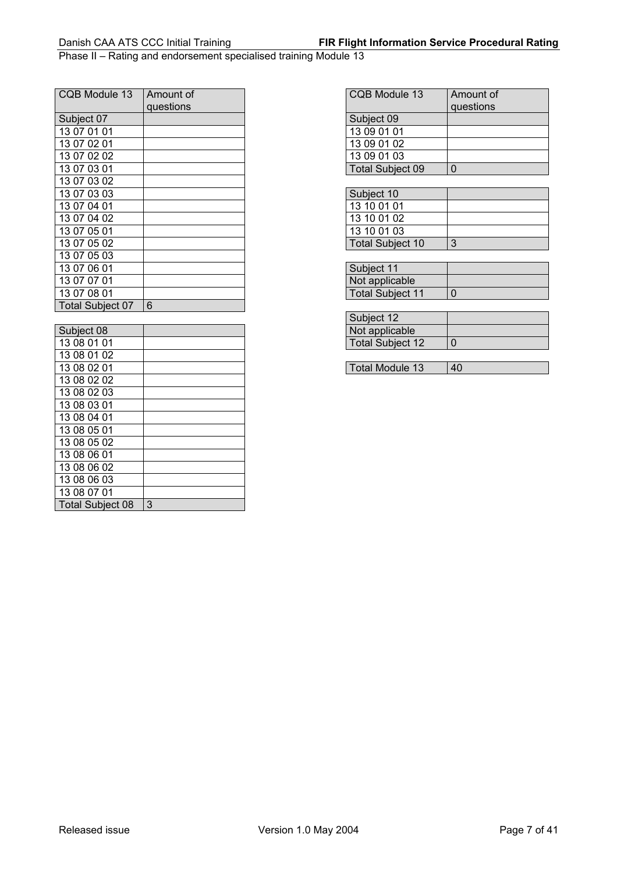| CQB Module 13    | Amount of | CQB Module 13           | A            |
|------------------|-----------|-------------------------|--------------|
|                  | questions |                         | q            |
| Subject 07       |           | Subject 09              |              |
| 13 07 01 01      |           | 13 09 01 01             |              |
| 13 07 02 01      |           | 13 09 01 02             |              |
| 13 07 02 02      |           | 13 09 01 03             |              |
| 13 07 03 01      |           | <b>Total Subject 09</b> | $\mathbf{0}$ |
| 13 07 03 02      |           |                         |              |
| 13 07 03 03      |           | Subject 10              |              |
| 13 07 04 01      |           | 13 10 01 01             |              |
| 13 07 04 02      |           | 13 10 01 02             |              |
| 13 07 05 01      |           | 13 10 01 03             |              |
| 13 07 05 02      |           | <b>Total Subject 10</b> | 3            |
| 13 07 05 03      |           |                         |              |
| 13 07 06 01      |           | Subject 11              |              |
| 13 07 07 01      |           | Not applicable          |              |
| 13 07 08 01      |           | <b>Total Subject 11</b> | 0            |
| Total Subject 07 | 6         |                         |              |
|                  |           | Subject 12              |              |

| Subject 08              |   | Not applicable          |                |
|-------------------------|---|-------------------------|----------------|
| 13 08 01 01             |   | <b>Total Subject 12</b> | $\mathbf 0$    |
| 13 08 01 02             |   |                         |                |
| 13 08 02 01             |   | Total Module 13         | $\overline{4}$ |
| 13 08 02 02             |   |                         |                |
| 13 08 02 03             |   |                         |                |
| 13 08 03 01             |   |                         |                |
| 13 08 04 01             |   |                         |                |
| 13 08 05 01             |   |                         |                |
| 13 08 05 02             |   |                         |                |
| 13 08 06 01             |   |                         |                |
| 13 08 06 02             |   |                         |                |
| 13 08 06 03             |   |                         |                |
| 13 08 07 01             |   |                         |                |
| <b>Total Subject 08</b> | 3 |                         |                |

| CQB Module 13           | Amount of<br>questions |
|-------------------------|------------------------|
| Subject 09              |                        |
| 13 09 01 01             |                        |
| 13 09 01 02             |                        |
| 13 09 01 03             |                        |
| <b>Total Subject 09</b> | N                      |

| Subject 10       |  |
|------------------|--|
| l 13 10 01 01    |  |
| 13 10 01 02      |  |
| 13 10 01 03      |  |
| Total Subject 10 |  |

| Subject 11              |  |
|-------------------------|--|
| Not applicable          |  |
| <b>Total Subject 11</b> |  |

| Subject 12       |  |
|------------------|--|
| Not applicable   |  |
| Total Subject 12 |  |

 $\boxed{\text{Total Module 13}}$   $\boxed{40}$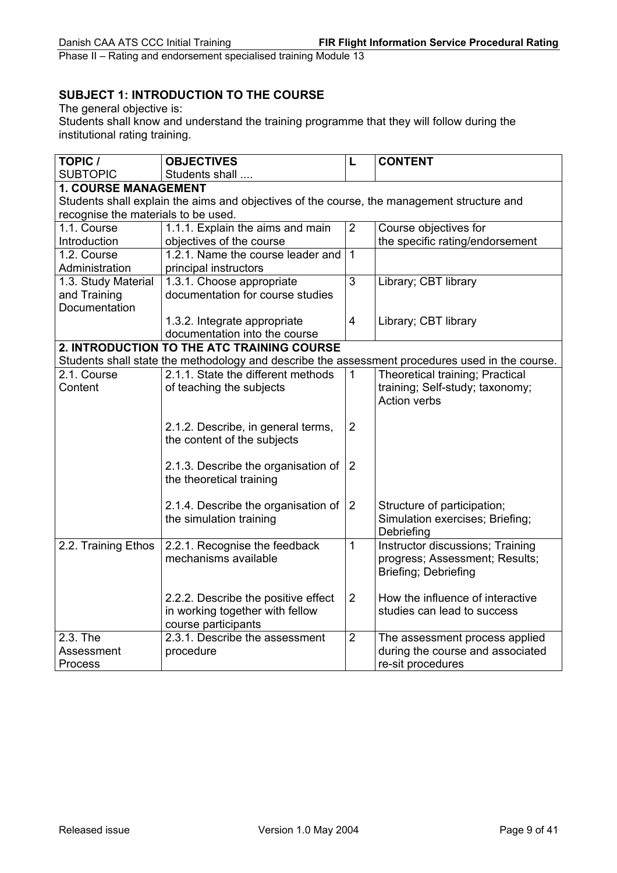## **SUBJECT 1: INTRODUCTION TO THE COURSE**

The general objective is:

Students shall know and understand the training programme that they will follow during the institutional rating training.

| TOPIC /                             | <b>OBJECTIVES</b>                                                                          | L              | <b>CONTENT</b>                                                                                  |
|-------------------------------------|--------------------------------------------------------------------------------------------|----------------|-------------------------------------------------------------------------------------------------|
| <b>SUBTOPIC</b>                     | Students shall                                                                             |                |                                                                                                 |
| <b>1. COURSE MANAGEMENT</b>         |                                                                                            |                |                                                                                                 |
|                                     | Students shall explain the aims and objectives of the course, the management structure and |                |                                                                                                 |
| recognise the materials to be used. |                                                                                            |                |                                                                                                 |
| 1.1. Course                         | 1.1.1. Explain the aims and main                                                           | $\overline{2}$ | Course objectives for                                                                           |
| Introduction                        | objectives of the course                                                                   |                | the specific rating/endorsement                                                                 |
| 1.2. Course                         | 1.2.1. Name the course leader and                                                          | $\overline{1}$ |                                                                                                 |
| Administration                      | principal instructors                                                                      |                |                                                                                                 |
| 1.3. Study Material                 | 1.3.1. Choose appropriate                                                                  | $\overline{3}$ | Library; CBT library                                                                            |
| and Training                        | documentation for course studies                                                           |                |                                                                                                 |
| Documentation                       |                                                                                            |                |                                                                                                 |
|                                     | 1.3.2. Integrate appropriate                                                               | $\overline{4}$ | Library; CBT library                                                                            |
|                                     | documentation into the course                                                              |                |                                                                                                 |
|                                     | 2. INTRODUCTION TO THE ATC TRAINING COURSE                                                 |                |                                                                                                 |
|                                     |                                                                                            |                | Students shall state the methodology and describe the assessment procedures used in the course. |
| 2.1. Course                         | 2.1.1. State the different methods                                                         | 1              | Theoretical training; Practical                                                                 |
| Content                             | of teaching the subjects                                                                   |                | training; Self-study; taxonomy;                                                                 |
|                                     |                                                                                            |                | <b>Action verbs</b>                                                                             |
|                                     |                                                                                            |                |                                                                                                 |
|                                     | 2.1.2. Describe, in general terms,                                                         | $\overline{2}$ |                                                                                                 |
|                                     | the content of the subjects                                                                |                |                                                                                                 |
|                                     |                                                                                            |                |                                                                                                 |
|                                     | 2.1.3. Describe the organisation of                                                        | $\overline{2}$ |                                                                                                 |
|                                     | the theoretical training                                                                   |                |                                                                                                 |
|                                     |                                                                                            |                |                                                                                                 |
|                                     | 2.1.4. Describe the organisation of                                                        | $\overline{2}$ | Structure of participation;                                                                     |
|                                     | the simulation training                                                                    |                | Simulation exercises; Briefing;                                                                 |
|                                     |                                                                                            |                | Debriefing                                                                                      |
| 2.2. Training Ethos                 | 2.2.1. Recognise the feedback                                                              | $\overline{1}$ | Instructor discussions; Training                                                                |
|                                     | mechanisms available                                                                       |                | progress; Assessment; Results;                                                                  |
|                                     |                                                                                            |                | Briefing; Debriefing                                                                            |
|                                     |                                                                                            |                |                                                                                                 |
|                                     | 2.2.2. Describe the positive effect                                                        | $\overline{2}$ | How the influence of interactive                                                                |
|                                     | in working together with fellow                                                            |                | studies can lead to success                                                                     |
|                                     | course participants                                                                        |                |                                                                                                 |
| 2.3. The                            | 2.3.1. Describe the assessment                                                             | $\overline{2}$ | The assessment process applied                                                                  |
| Assessment                          | procedure                                                                                  |                | during the course and associated                                                                |
| Process                             |                                                                                            |                | re-sit procedures                                                                               |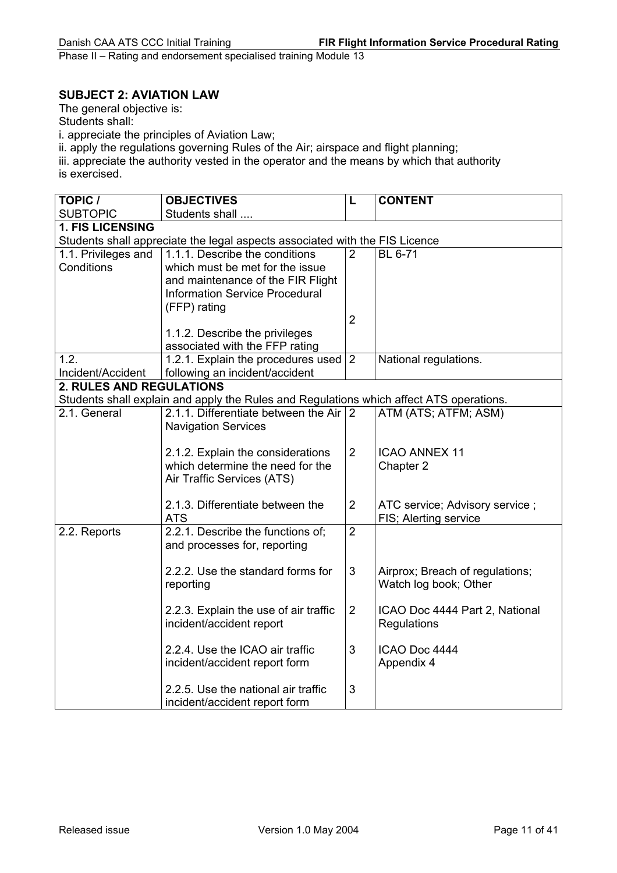#### **SUBJECT 2: AVIATION LAW**

The general objective is:

Students shall:

i. appreciate the principles of Aviation Law;

ii. apply the regulations governing Rules of the Air; airspace and flight planning;

iii. appreciate the authority vested in the operator and the means by which that authority is exercised.

| <b>TOPIC /</b>                  | <b>OBJECTIVES</b>                                                                       | L              | <b>CONTENT</b>                                           |
|---------------------------------|-----------------------------------------------------------------------------------------|----------------|----------------------------------------------------------|
| <b>SUBTOPIC</b>                 | Students shall                                                                          |                |                                                          |
| 1. FIS LICENSING                |                                                                                         |                |                                                          |
|                                 | Students shall appreciate the legal aspects associated with the FIS Licence             |                |                                                          |
| 1.1. Privileges and             | 1.1.1. Describe the conditions                                                          | $\overline{2}$ | BL 6-71                                                  |
| Conditions                      | which must be met for the issue                                                         |                |                                                          |
|                                 | and maintenance of the FIR Flight                                                       |                |                                                          |
|                                 | <b>Information Service Procedural</b>                                                   |                |                                                          |
|                                 | (FFP) rating                                                                            |                |                                                          |
|                                 |                                                                                         | $\overline{2}$ |                                                          |
|                                 | 1.1.2. Describe the privileges                                                          |                |                                                          |
|                                 | associated with the FFP rating                                                          |                |                                                          |
| 1.2.                            | 1.2.1. Explain the procedures used $ 2 $                                                |                | National regulations.                                    |
| Incident/Accident               | following an incident/accident                                                          |                |                                                          |
| <b>2. RULES AND REGULATIONS</b> |                                                                                         |                |                                                          |
|                                 | Students shall explain and apply the Rules and Regulations which affect ATS operations. |                |                                                          |
| 2.1. General                    | 2.1.1. Differentiate between the Air 2                                                  |                | ATM (ATS; ATFM; ASM)                                     |
|                                 | <b>Navigation Services</b>                                                              |                |                                                          |
|                                 |                                                                                         |                |                                                          |
|                                 | 2.1.2. Explain the considerations                                                       | $\overline{2}$ | <b>ICAO ANNEX 11</b>                                     |
|                                 | which determine the need for the                                                        |                | Chapter 2                                                |
|                                 | Air Traffic Services (ATS)                                                              |                |                                                          |
|                                 |                                                                                         |                |                                                          |
|                                 | 2.1.3. Differentiate between the                                                        | $\overline{2}$ | ATC service; Advisory service;                           |
|                                 | <b>ATS</b>                                                                              |                | FIS; Alerting service                                    |
| 2.2. Reports                    | 2.2.1. Describe the functions of;                                                       | $\overline{2}$ |                                                          |
|                                 | and processes for, reporting                                                            |                |                                                          |
|                                 | 2.2.2. Use the standard forms for                                                       | 3              |                                                          |
|                                 |                                                                                         |                | Airprox; Breach of regulations;<br>Watch log book; Other |
|                                 | reporting                                                                               |                |                                                          |
|                                 | 2.2.3. Explain the use of air traffic                                                   | $\overline{2}$ | ICAO Doc 4444 Part 2, National                           |
|                                 | incident/accident report                                                                |                | Regulations                                              |
|                                 |                                                                                         |                |                                                          |
|                                 | 2.2.4. Use the ICAO air traffic                                                         | 3              | ICAO Doc 4444                                            |
|                                 | incident/accident report form                                                           |                | Appendix 4                                               |
|                                 |                                                                                         |                |                                                          |
|                                 | 2.2.5. Use the national air traffic                                                     | 3              |                                                          |
|                                 | incident/accident report form                                                           |                |                                                          |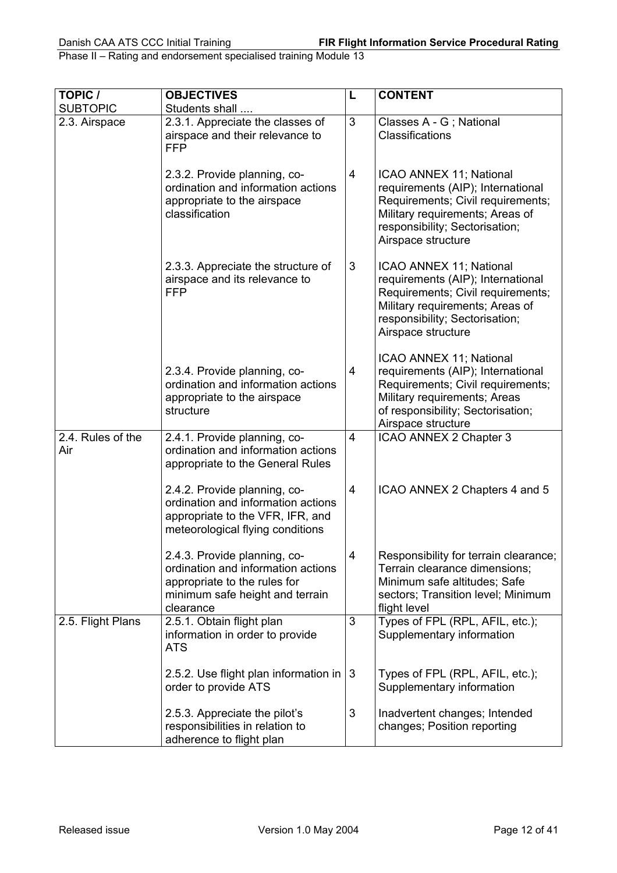| <b>TOPIC /</b><br><b>SUBTOPIC</b> | <b>OBJECTIVES</b><br>Students shall                                                                                                                | L                       | <b>CONTENT</b>                                                                                                                                                                               |
|-----------------------------------|----------------------------------------------------------------------------------------------------------------------------------------------------|-------------------------|----------------------------------------------------------------------------------------------------------------------------------------------------------------------------------------------|
| 2.3. Airspace                     | 2.3.1. Appreciate the classes of                                                                                                                   | 3                       | Classes A - G; National                                                                                                                                                                      |
|                                   | airspace and their relevance to<br><b>FFP</b>                                                                                                      |                         | Classifications                                                                                                                                                                              |
|                                   | 2.3.2. Provide planning, co-<br>ordination and information actions<br>appropriate to the airspace<br>classification                                | $\overline{4}$          | ICAO ANNEX 11; National<br>requirements (AIP); International<br>Requirements; Civil requirements;<br>Military requirements; Areas of<br>responsibility; Sectorisation;<br>Airspace structure |
|                                   | 2.3.3. Appreciate the structure of<br>airspace and its relevance to<br><b>FFP</b>                                                                  | 3                       | ICAO ANNEX 11; National<br>requirements (AIP); International<br>Requirements; Civil requirements;<br>Military requirements; Areas of<br>responsibility; Sectorisation;<br>Airspace structure |
|                                   | 2.3.4. Provide planning, co-<br>ordination and information actions<br>appropriate to the airspace<br>structure                                     | $\overline{\mathbf{4}}$ | ICAO ANNEX 11; National<br>requirements (AIP); International<br>Requirements; Civil requirements;<br>Military requirements; Areas<br>of responsibility; Sectorisation;<br>Airspace structure |
| 2.4. Rules of the<br>Air          | 2.4.1. Provide planning, co-<br>ordination and information actions<br>appropriate to the General Rules                                             | $\overline{4}$          | ICAO ANNEX 2 Chapter 3                                                                                                                                                                       |
|                                   | 2.4.2. Provide planning, co-<br>ordination and information actions<br>appropriate to the VFR, IFR, and<br>meteorological flying conditions         | $\overline{4}$          | ICAO ANNEX 2 Chapters 4 and 5                                                                                                                                                                |
|                                   | 2.4.3. Provide planning, co-<br>ordination and information actions<br>appropriate to the rules for<br>minimum safe height and terrain<br>clearance | $\overline{4}$          | Responsibility for terrain clearance;<br>Terrain clearance dimensions;<br>Minimum safe altitudes; Safe<br>sectors; Transition level; Minimum<br>flight level                                 |
| 2.5. Flight Plans                 | 2.5.1. Obtain flight plan<br>information in order to provide<br><b>ATS</b>                                                                         | $\mathfrak{S}$          | Types of FPL (RPL, AFIL, etc.);<br>Supplementary information                                                                                                                                 |
|                                   | 2.5.2. Use flight plan information in<br>order to provide ATS                                                                                      | $\mathbf{3}$            | Types of FPL (RPL, AFIL, etc.);<br>Supplementary information                                                                                                                                 |
|                                   | 2.5.3. Appreciate the pilot's<br>responsibilities in relation to<br>adherence to flight plan                                                       | $\mathfrak{S}$          | Inadvertent changes; Intended<br>changes; Position reporting                                                                                                                                 |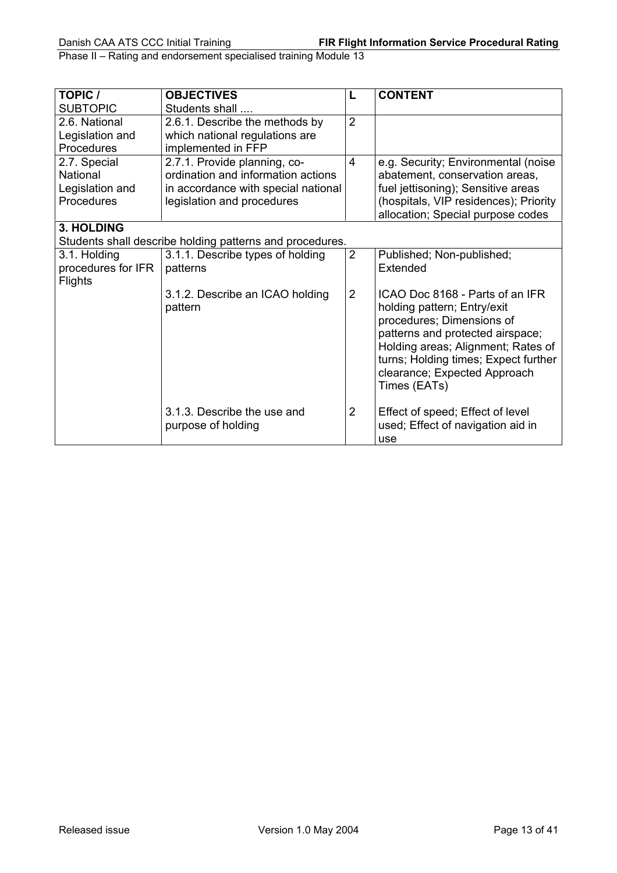| <b>TOPIC /</b>     | <b>OBJECTIVES</b>                                        | L              | <b>CONTENT</b>                                                 |
|--------------------|----------------------------------------------------------|----------------|----------------------------------------------------------------|
| <b>SUBTOPIC</b>    | Students shall                                           |                |                                                                |
| 2.6. National      | 2.6.1. Describe the methods by                           | $\overline{2}$ |                                                                |
| Legislation and    | which national regulations are                           |                |                                                                |
| Procedures         | implemented in FFP                                       |                |                                                                |
| 2.7. Special       | 2.7.1. Provide planning, co-                             | $\overline{4}$ | e.g. Security; Environmental (noise                            |
| National           | ordination and information actions                       |                | abatement, conservation areas,                                 |
| Legislation and    | in accordance with special national                      |                | fuel jettisoning); Sensitive areas                             |
| Procedures         | legislation and procedures                               |                | (hospitals, VIP residences); Priority                          |
|                    |                                                          |                | allocation; Special purpose codes                              |
| 3. HOLDING         |                                                          |                |                                                                |
|                    | Students shall describe holding patterns and procedures. |                |                                                                |
| 3.1. Holding       | 3.1.1. Describe types of holding                         | $\overline{2}$ | Published; Non-published;                                      |
| procedures for IFR | patterns                                                 |                | Extended                                                       |
| <b>Flights</b>     |                                                          |                |                                                                |
|                    | 3.1.2. Describe an ICAO holding<br>pattern               | $\overline{2}$ | ICAO Doc 8168 - Parts of an IFR<br>holding pattern; Entry/exit |
|                    |                                                          |                | procedures; Dimensions of                                      |
|                    |                                                          |                | patterns and protected airspace;                               |
|                    |                                                          |                | Holding areas; Alignment; Rates of                             |
|                    |                                                          |                | turns; Holding times; Expect further                           |
|                    |                                                          |                | clearance; Expected Approach                                   |
|                    |                                                          |                | Times (EATs)                                                   |
|                    |                                                          |                |                                                                |
|                    | 3.1.3. Describe the use and                              | $\overline{2}$ | Effect of speed; Effect of level                               |
|                    | purpose of holding                                       |                | used; Effect of navigation aid in                              |
|                    |                                                          |                | use                                                            |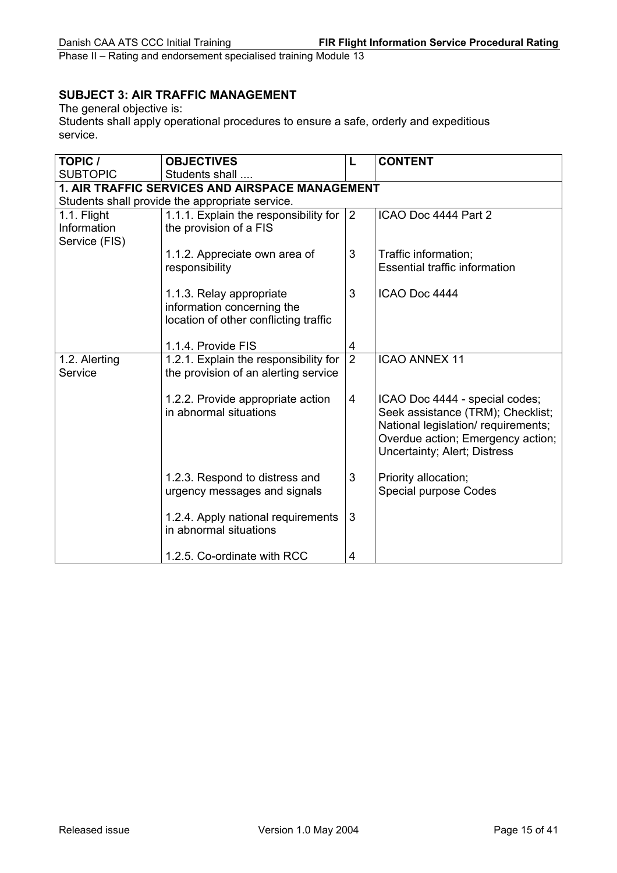### **SUBJECT 3: AIR TRAFFIC MANAGEMENT**

The general objective is:

Students shall apply operational procedures to ensure a safe, orderly and expeditious service.

| <b>TOPIC /</b><br><b>SUBTOPIC</b>               | <b>OBJECTIVES</b><br>Students shall                                                             | L              | <b>CONTENT</b>                                                                                                                                                                         |  |  |  |
|-------------------------------------------------|-------------------------------------------------------------------------------------------------|----------------|----------------------------------------------------------------------------------------------------------------------------------------------------------------------------------------|--|--|--|
| 1. AIR TRAFFIC SERVICES AND AIRSPACE MANAGEMENT |                                                                                                 |                |                                                                                                                                                                                        |  |  |  |
|                                                 | Students shall provide the appropriate service.                                                 |                |                                                                                                                                                                                        |  |  |  |
| 1.1. Flight<br>Information<br>Service (FIS)     | 1.1.1. Explain the responsibility for<br>the provision of a FIS                                 | 2              | ICAO Doc 4444 Part 2                                                                                                                                                                   |  |  |  |
|                                                 | 1.1.2. Appreciate own area of<br>responsibility                                                 | 3              | Traffic information;<br><b>Essential traffic information</b>                                                                                                                           |  |  |  |
|                                                 | 1.1.3. Relay appropriate<br>information concerning the<br>location of other conflicting traffic | 3              | ICAO Doc 4444                                                                                                                                                                          |  |  |  |
|                                                 | 1.1.4. Provide FIS                                                                              | 4              |                                                                                                                                                                                        |  |  |  |
| 1.2. Alerting<br>Service                        | 1.2.1. Explain the responsibility for<br>the provision of an alerting service                   | $\overline{2}$ | <b>ICAO ANNEX 11</b>                                                                                                                                                                   |  |  |  |
|                                                 | 1.2.2. Provide appropriate action<br>in abnormal situations                                     | $\overline{4}$ | ICAO Doc 4444 - special codes;<br>Seek assistance (TRM); Checklist;<br>National legislation/ requirements;<br>Overdue action; Emergency action;<br><b>Uncertainty; Alert; Distress</b> |  |  |  |
|                                                 | 1.2.3. Respond to distress and<br>urgency messages and signals                                  | 3              | Priority allocation;<br>Special purpose Codes                                                                                                                                          |  |  |  |
|                                                 | 1.2.4. Apply national requirements<br>in abnormal situations                                    | 3              |                                                                                                                                                                                        |  |  |  |
|                                                 | 1.2.5. Co-ordinate with RCC                                                                     | 4              |                                                                                                                                                                                        |  |  |  |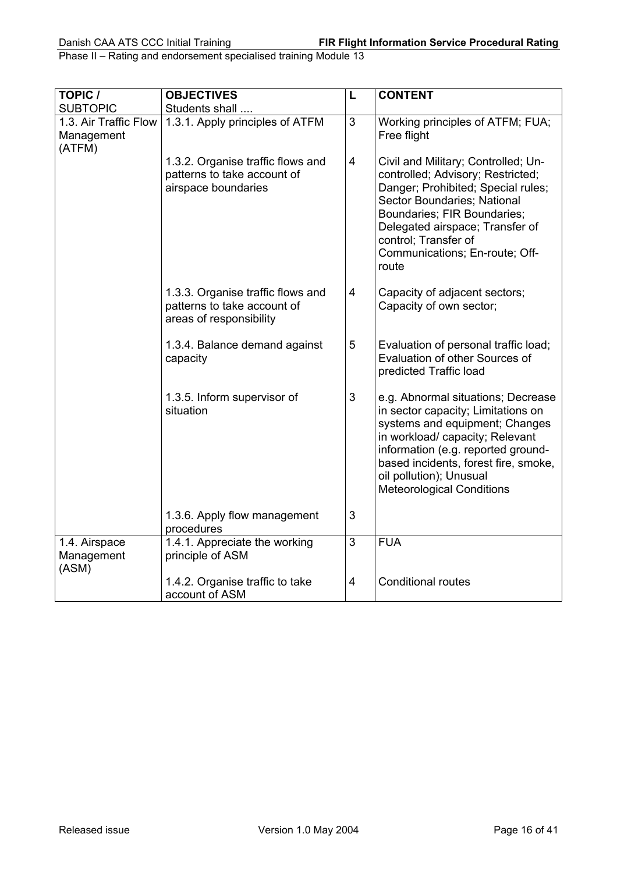| TOPIC /                                       | <b>OBJECTIVES</b>                                                                           | L                       | <b>CONTENT</b>                                                                                                                                                                                                                                                                             |
|-----------------------------------------------|---------------------------------------------------------------------------------------------|-------------------------|--------------------------------------------------------------------------------------------------------------------------------------------------------------------------------------------------------------------------------------------------------------------------------------------|
| <b>SUBTOPIC</b>                               | Students shall                                                                              |                         |                                                                                                                                                                                                                                                                                            |
| 1.3. Air Traffic Flow<br>Management<br>(ATFM) | 1.3.1. Apply principles of ATFM                                                             | 3                       | Working principles of ATFM; FUA;<br>Free flight                                                                                                                                                                                                                                            |
|                                               | 1.3.2. Organise traffic flows and<br>patterns to take account of<br>airspace boundaries     | $\overline{4}$          | Civil and Military; Controlled; Un-<br>controlled; Advisory; Restricted;<br>Danger; Prohibited; Special rules;<br>Sector Boundaries; National<br>Boundaries; FIR Boundaries;<br>Delegated airspace; Transfer of<br>control; Transfer of<br>Communications; En-route; Off-<br>route         |
|                                               | 1.3.3. Organise traffic flows and<br>patterns to take account of<br>areas of responsibility | $\overline{\mathbf{4}}$ | Capacity of adjacent sectors;<br>Capacity of own sector;                                                                                                                                                                                                                                   |
|                                               | 1.3.4. Balance demand against<br>capacity                                                   | 5                       | Evaluation of personal traffic load;<br>Evaluation of other Sources of<br>predicted Traffic load                                                                                                                                                                                           |
|                                               | 1.3.5. Inform supervisor of<br>situation                                                    | 3                       | e.g. Abnormal situations; Decrease<br>in sector capacity; Limitations on<br>systems and equipment; Changes<br>in workload/ capacity; Relevant<br>information (e.g. reported ground-<br>based incidents, forest fire, smoke,<br>oil pollution); Unusual<br><b>Meteorological Conditions</b> |
|                                               | 1.3.6. Apply flow management<br>procedures                                                  | 3                       |                                                                                                                                                                                                                                                                                            |
| 1.4. Airspace<br>Management<br>(ASM)          | 1.4.1. Appreciate the working<br>principle of ASM                                           | 3                       | <b>FUA</b>                                                                                                                                                                                                                                                                                 |
|                                               | 1.4.2. Organise traffic to take<br>account of ASM                                           | $\overline{4}$          | <b>Conditional routes</b>                                                                                                                                                                                                                                                                  |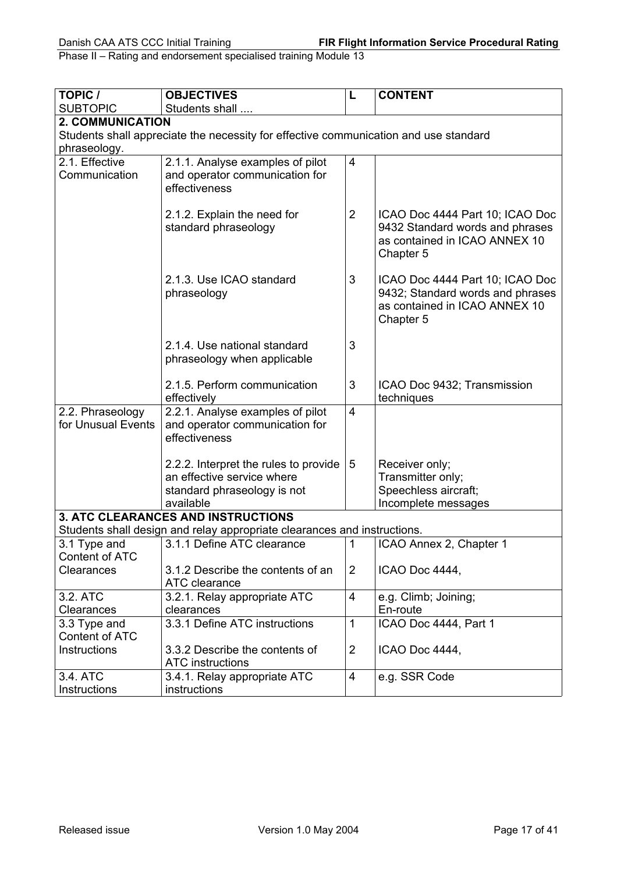| TOPIC /                 | <b>OBJECTIVES</b>                                                                    | L                       | <b>CONTENT</b>                   |
|-------------------------|--------------------------------------------------------------------------------------|-------------------------|----------------------------------|
| <b>SUBTOPIC</b>         | Students shall                                                                       |                         |                                  |
| <b>2. COMMUNICATION</b> |                                                                                      |                         |                                  |
|                         | Students shall appreciate the necessity for effective communication and use standard |                         |                                  |
| phraseology.            |                                                                                      |                         |                                  |
| 2.1. Effective          | 2.1.1. Analyse examples of pilot                                                     | $\overline{4}$          |                                  |
| Communication           | and operator communication for                                                       |                         |                                  |
|                         | effectiveness                                                                        |                         |                                  |
|                         |                                                                                      |                         |                                  |
|                         | 2.1.2. Explain the need for                                                          | $\overline{2}$          | ICAO Doc 4444 Part 10; ICAO Doc  |
|                         | standard phraseology                                                                 |                         | 9432 Standard words and phrases  |
|                         |                                                                                      |                         | as contained in ICAO ANNEX 10    |
|                         |                                                                                      |                         | Chapter 5                        |
|                         | 2.1.3. Use ICAO standard                                                             | 3                       | ICAO Doc 4444 Part 10; ICAO Doc  |
|                         | phraseology                                                                          |                         | 9432; Standard words and phrases |
|                         |                                                                                      |                         | as contained in ICAO ANNEX 10    |
|                         |                                                                                      |                         | Chapter 5                        |
|                         |                                                                                      |                         |                                  |
|                         | 2.1.4. Use national standard                                                         | 3                       |                                  |
|                         | phraseology when applicable                                                          |                         |                                  |
|                         |                                                                                      |                         |                                  |
|                         | 2.1.5. Perform communication                                                         | 3                       | ICAO Doc 9432; Transmission      |
|                         | effectively                                                                          |                         | techniques                       |
| 2.2. Phraseology        | 2.2.1. Analyse examples of pilot                                                     | $\overline{4}$          |                                  |
| for Unusual Events      | and operator communication for                                                       |                         |                                  |
|                         | effectiveness                                                                        |                         |                                  |
|                         | 2.2.2. Interpret the rules to provide                                                | 5                       | Receiver only;                   |
|                         | an effective service where                                                           |                         | Transmitter only;                |
|                         | standard phraseology is not                                                          |                         | Speechless aircraft;             |
|                         | available                                                                            |                         | Incomplete messages              |
|                         | <b>3. ATC CLEARANCES AND INSTRUCTIONS</b>                                            |                         |                                  |
|                         | Students shall design and relay appropriate clearances and instructions.             |                         |                                  |
| 3.1 Type and            | 3.1.1 Define ATC clearance                                                           |                         | ICAO Annex 2, Chapter 1          |
| Content of ATC          |                                                                                      |                         |                                  |
| Clearances              | 3.1.2 Describe the contents of an                                                    | $\overline{2}$          | ICAO Doc 4444,                   |
|                         | <b>ATC</b> clearance                                                                 |                         |                                  |
| 3.2. ATC                | 3.2.1. Relay appropriate ATC                                                         | $\overline{\mathbf{4}}$ | e.g. Climb; Joining;             |
| Clearances              | clearances                                                                           |                         | En-route                         |
| 3.3 Type and            | 3.3.1 Define ATC instructions                                                        | $\mathbf{1}$            | ICAO Doc 4444, Part 1            |
| Content of ATC          |                                                                                      |                         |                                  |
| Instructions            | 3.3.2 Describe the contents of                                                       | $\overline{2}$          | ICAO Doc 4444,                   |
| 3.4. ATC                | <b>ATC</b> instructions                                                              |                         |                                  |
|                         | 3.4.1. Relay appropriate ATC                                                         | 4                       | e.g. SSR Code                    |
| Instructions            | instructions                                                                         |                         |                                  |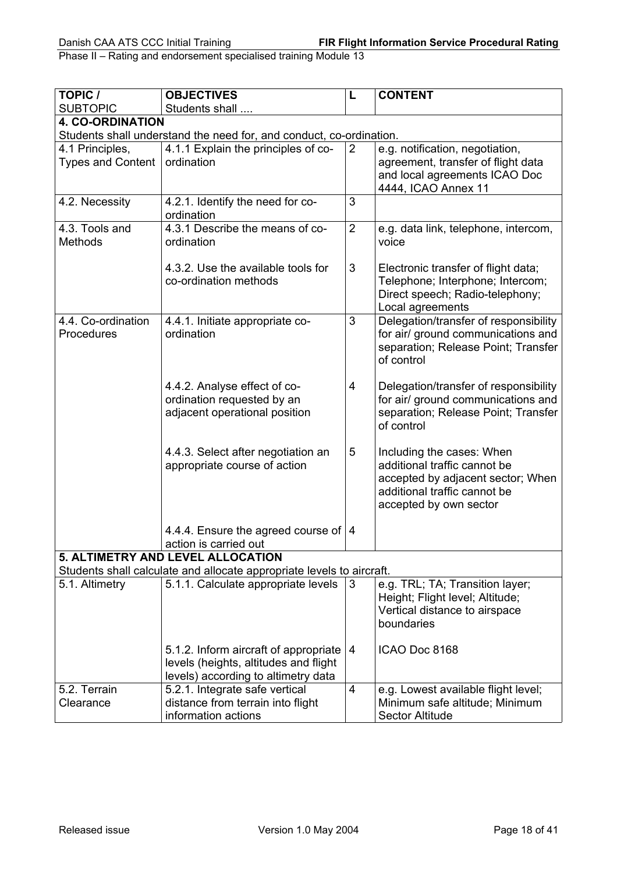| TOPIC /                  | <b>OBJECTIVES</b>                                                     | L              | <b>CONTENT</b>                                            |
|--------------------------|-----------------------------------------------------------------------|----------------|-----------------------------------------------------------|
| <b>SUBTOPIC</b>          | Students shall                                                        |                |                                                           |
| <b>4. CO-ORDINATION</b>  |                                                                       |                |                                                           |
|                          | Students shall understand the need for, and conduct, co-ordination.   |                |                                                           |
| 4.1 Principles,          | 4.1.1 Explain the principles of co-                                   | 2              | e.g. notification, negotiation,                           |
| <b>Types and Content</b> | ordination                                                            |                | agreement, transfer of flight data                        |
|                          |                                                                       |                | and local agreements ICAO Doc                             |
|                          |                                                                       |                | 4444, ICAO Annex 11                                       |
| 4.2. Necessity           | 4.2.1. Identify the need for co-<br>ordination                        | 3              |                                                           |
| 4.3. Tools and           | 4.3.1 Describe the means of co-                                       | $\overline{2}$ | e.g. data link, telephone, intercom,                      |
| Methods                  | ordination                                                            |                | voice                                                     |
|                          |                                                                       |                |                                                           |
|                          | 4.3.2. Use the available tools for                                    | 3              | Electronic transfer of flight data;                       |
|                          | co-ordination methods                                                 |                | Telephone; Interphone; Intercom;                          |
|                          |                                                                       |                | Direct speech; Radio-telephony;                           |
|                          |                                                                       |                | Local agreements                                          |
| 4.4. Co-ordination       | 4.4.1. Initiate appropriate co-                                       | 3              | Delegation/transfer of responsibility                     |
| Procedures               | ordination                                                            |                | for air/ ground communications and                        |
|                          |                                                                       |                | separation; Release Point; Transfer                       |
|                          |                                                                       |                | of control                                                |
|                          |                                                                       |                |                                                           |
|                          | 4.4.2. Analyse effect of co-                                          | 4              | Delegation/transfer of responsibility                     |
|                          | ordination requested by an                                            |                | for air/ ground communications and                        |
|                          | adjacent operational position                                         |                | separation; Release Point; Transfer                       |
|                          |                                                                       |                | of control                                                |
|                          |                                                                       | 5              |                                                           |
|                          | 4.4.3. Select after negotiation an<br>appropriate course of action    |                | Including the cases: When<br>additional traffic cannot be |
|                          |                                                                       |                | accepted by adjacent sector; When                         |
|                          |                                                                       |                | additional traffic cannot be                              |
|                          |                                                                       |                | accepted by own sector                                    |
|                          |                                                                       |                |                                                           |
|                          | 4.4.4. Ensure the agreed course of $ 4$                               |                |                                                           |
|                          | action is carried out                                                 |                |                                                           |
|                          | <b>5. ALTIMETRY AND LEVEL ALLOCATION</b>                              |                |                                                           |
|                          | Students shall calculate and allocate appropriate levels to aircraft. |                |                                                           |
| 5.1. Altimetry           | 5.1.1. Calculate appropriate levels                                   | 3              | e.g. TRL; TA; Transition layer;                           |
|                          |                                                                       |                | Height; Flight level; Altitude;                           |
|                          |                                                                       |                | Vertical distance to airspace                             |
|                          |                                                                       |                | boundaries                                                |
|                          |                                                                       |                |                                                           |
|                          | 5.1.2. Inform aircraft of appropriate                                 | $\overline{4}$ | ICAO Doc 8168                                             |
|                          | levels (heights, altitudes and flight                                 |                |                                                           |
|                          | levels) according to altimetry data                                   |                |                                                           |
| 5.2. Terrain             | 5.2.1. Integrate safe vertical                                        | $\overline{4}$ | e.g. Lowest available flight level;                       |
| Clearance                | distance from terrain into flight                                     |                | Minimum safe altitude; Minimum                            |
|                          | information actions                                                   |                | Sector Altitude                                           |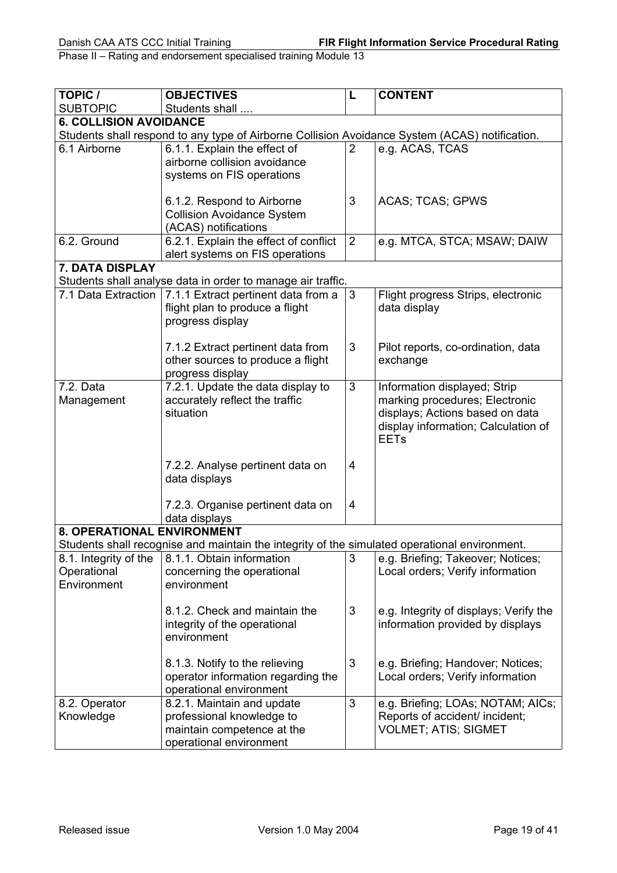| <b>TOPIC /</b>                    | <b>OBJECTIVES</b>                                                                              | L              | <b>CONTENT</b>                         |
|-----------------------------------|------------------------------------------------------------------------------------------------|----------------|----------------------------------------|
| <b>SUBTOPIC</b>                   | Students shall                                                                                 |                |                                        |
| <b>6. COLLISION AVOIDANCE</b>     |                                                                                                |                |                                        |
|                                   | Students shall respond to any type of Airborne Collision Avoidance System (ACAS) notification. |                |                                        |
| 6.1 Airborne                      | 6.1.1. Explain the effect of                                                                   | $\overline{2}$ | e.g. ACAS, TCAS                        |
|                                   | airborne collision avoidance                                                                   |                |                                        |
|                                   | systems on FIS operations                                                                      |                |                                        |
|                                   |                                                                                                |                |                                        |
|                                   | 6.1.2. Respond to Airborne                                                                     | 3              | ACAS; TCAS; GPWS                       |
|                                   | <b>Collision Avoidance System</b>                                                              |                |                                        |
|                                   | (ACAS) notifications                                                                           |                |                                        |
| 6.2. Ground                       | 6.2.1. Explain the effect of conflict                                                          | $\overline{2}$ | e.g. MTCA, STCA; MSAW; DAIW            |
|                                   | alert systems on FIS operations                                                                |                |                                        |
| 7. DATA DISPLAY                   |                                                                                                |                |                                        |
|                                   | Students shall analyse data in order to manage air traffic.                                    |                |                                        |
| 7.1 Data Extraction               | 7.1.1 Extract pertinent data from a                                                            | $\mathfrak{S}$ | Flight progress Strips, electronic     |
|                                   | flight plan to produce a flight                                                                |                | data display                           |
|                                   | progress display                                                                               |                |                                        |
|                                   |                                                                                                |                |                                        |
|                                   | 7.1.2 Extract pertinent data from                                                              | 3              | Pilot reports, co-ordination, data     |
|                                   | other sources to produce a flight                                                              |                | exchange                               |
|                                   | progress display                                                                               |                |                                        |
| 7.2. Data                         | 7.2.1. Update the data display to                                                              | 3              | Information displayed; Strip           |
| Management                        | accurately reflect the traffic                                                                 |                | marking procedures; Electronic         |
|                                   | situation                                                                                      |                | displays; Actions based on data        |
|                                   |                                                                                                |                | display information; Calculation of    |
|                                   |                                                                                                |                | <b>EETs</b>                            |
|                                   |                                                                                                |                |                                        |
|                                   | 7.2.2. Analyse pertinent data on                                                               | 4              |                                        |
|                                   | data displays                                                                                  |                |                                        |
|                                   |                                                                                                |                |                                        |
|                                   | 7.2.3. Organise pertinent data on                                                              | $\overline{4}$ |                                        |
| <b>8. OPERATIONAL ENVIRONMENT</b> | data displays                                                                                  |                |                                        |
|                                   | Students shall recognise and maintain the integrity of the simulated operational environment.  |                |                                        |
| 8.1. Integrity of the             | 8.1.1. Obtain information                                                                      | 3              | e.g. Briefing; Takeover; Notices;      |
| Operational                       | concerning the operational                                                                     |                | Local orders; Verify information       |
| Environment                       | environment                                                                                    |                |                                        |
|                                   |                                                                                                |                |                                        |
|                                   | 8.1.2. Check and maintain the                                                                  | 3              | e.g. Integrity of displays; Verify the |
|                                   | integrity of the operational                                                                   |                | information provided by displays       |
|                                   | environment                                                                                    |                |                                        |
|                                   |                                                                                                |                |                                        |
|                                   | 8.1.3. Notify to the relieving                                                                 | 3              | e.g. Briefing; Handover; Notices;      |
|                                   | operator information regarding the                                                             |                | Local orders; Verify information       |
|                                   | operational environment                                                                        |                |                                        |
| 8.2. Operator                     | 8.2.1. Maintain and update                                                                     | 3              | e.g. Briefing; LOAs; NOTAM; AICs;      |
| Knowledge                         | professional knowledge to                                                                      |                | Reports of accident/ incident;         |
|                                   | maintain competence at the                                                                     |                | <b>VOLMET; ATIS; SIGMET</b>            |
|                                   | operational environment                                                                        |                |                                        |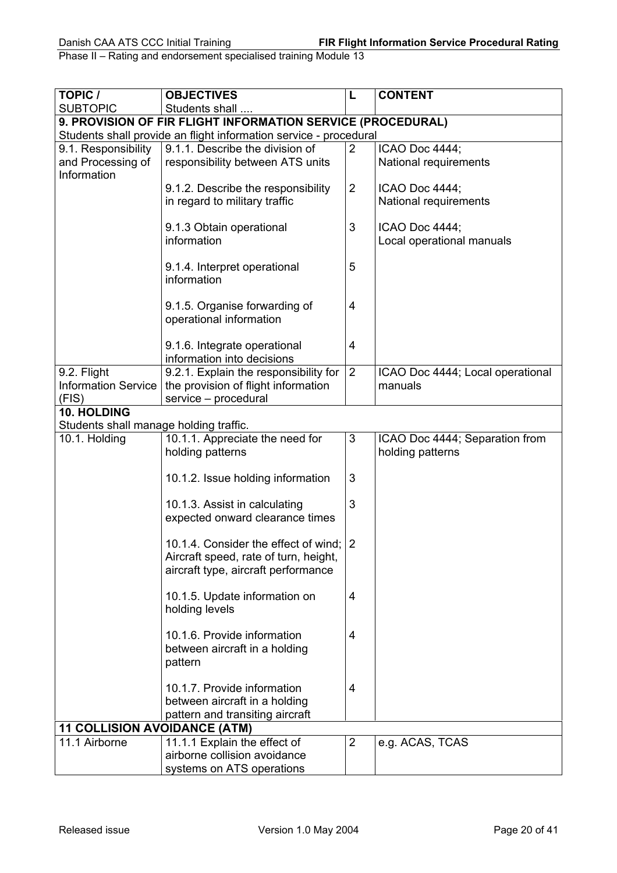| TOPIC /<br><b>SUBTOPIC</b>               | <b>OBJECTIVES</b><br>Students shall                                                                                    | L              | <b>CONTENT</b>                                     |
|------------------------------------------|------------------------------------------------------------------------------------------------------------------------|----------------|----------------------------------------------------|
|                                          | 9. PROVISION OF FIR FLIGHT INFORMATION SERVICE (PROCEDURAL)                                                            |                |                                                    |
|                                          | Students shall provide an flight information service - procedural                                                      |                |                                                    |
| 9.1. Responsibility<br>and Processing of | 9.1.1. Describe the division of<br>responsibility between ATS units                                                    | $\overline{2}$ | ICAO Doc 4444;<br>National requirements            |
| Information                              | 9.1.2. Describe the responsibility                                                                                     | 2              | ICAO Doc 4444;                                     |
|                                          | in regard to military traffic                                                                                          |                | National requirements                              |
|                                          | 9.1.3 Obtain operational<br>information                                                                                | 3              | ICAO Doc 4444;<br>Local operational manuals        |
|                                          | 9.1.4. Interpret operational<br>information                                                                            | 5              |                                                    |
|                                          | 9.1.5. Organise forwarding of<br>operational information                                                               | 4              |                                                    |
|                                          | 9.1.6. Integrate operational<br>information into decisions                                                             | 4              |                                                    |
| 9.2. Flight                              | 9.2.1. Explain the responsibility for                                                                                  | $\overline{2}$ | ICAO Doc 4444; Local operational                   |
| <b>Information Service</b>               | the provision of flight information                                                                                    |                | manuals                                            |
| (FIS)                                    | service - procedural                                                                                                   |                |                                                    |
| <b>10. HOLDING</b>                       |                                                                                                                        |                |                                                    |
| Students shall manage holding traffic.   |                                                                                                                        |                |                                                    |
| 10.1. Holding                            | 10.1.1. Appreciate the need for<br>holding patterns                                                                    | 3              | ICAO Doc 4444; Separation from<br>holding patterns |
|                                          | 10.1.2. Issue holding information                                                                                      | 3              |                                                    |
|                                          | 10.1.3. Assist in calculating<br>expected onward clearance times                                                       | 3              |                                                    |
|                                          |                                                                                                                        |                |                                                    |
|                                          | 10.1.4. Consider the effect of wind; 2<br>Aircraft speed, rate of turn, height,<br>aircraft type, aircraft performance |                |                                                    |
|                                          | 10.1.5. Update information on<br>holding levels                                                                        | 4              |                                                    |
|                                          | 10.1.6. Provide information<br>between aircraft in a holding<br>pattern                                                | 4              |                                                    |
|                                          | 10.1.7. Provide information<br>between aircraft in a holding<br>pattern and transiting aircraft                        | 4              |                                                    |
| <b>11 COLLISION AVOIDANCE (ATM)</b>      |                                                                                                                        |                |                                                    |
| 11.1 Airborne                            | 11.1.1 Explain the effect of                                                                                           | $\overline{2}$ | e.g. ACAS, TCAS                                    |
|                                          | airborne collision avoidance                                                                                           |                |                                                    |
|                                          | systems on ATS operations                                                                                              |                |                                                    |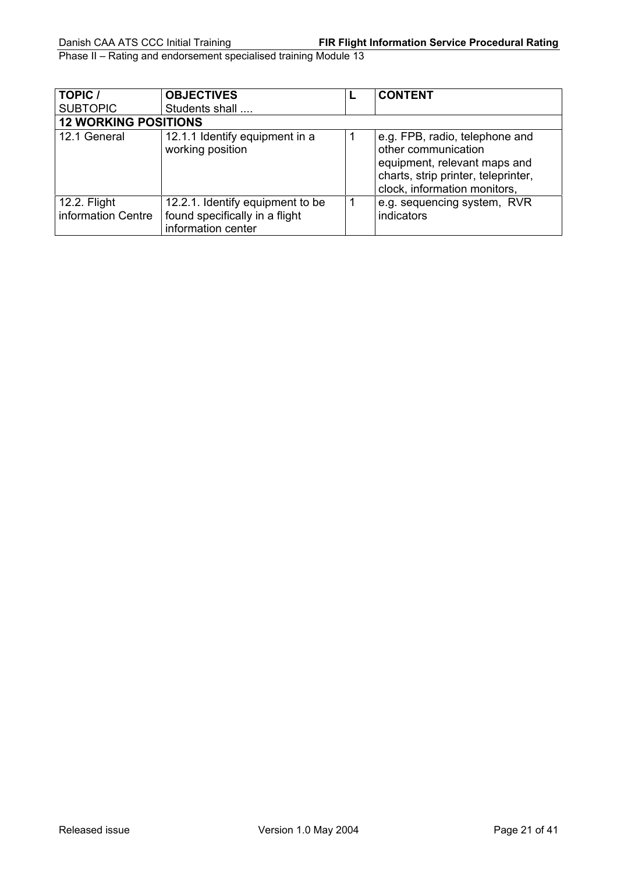| <b>TOPIC /</b>                     | <b>OBJECTIVES</b>                                                                        | <b>CONTENT</b>                                                                                                                                               |
|------------------------------------|------------------------------------------------------------------------------------------|--------------------------------------------------------------------------------------------------------------------------------------------------------------|
| <b>SUBTOPIC</b>                    | Students shall                                                                           |                                                                                                                                                              |
| <b>12 WORKING POSITIONS</b>        |                                                                                          |                                                                                                                                                              |
| 12.1 General                       | 12.1.1 Identify equipment in a<br>working position                                       | e.g. FPB, radio, telephone and<br>other communication<br>equipment, relevant maps and<br>charts, strip printer, teleprinter,<br>clock, information monitors, |
| 12.2. Flight<br>information Centre | 12.2.1. Identify equipment to be<br>found specifically in a flight<br>information center | e.g. sequencing system, RVR<br>indicators                                                                                                                    |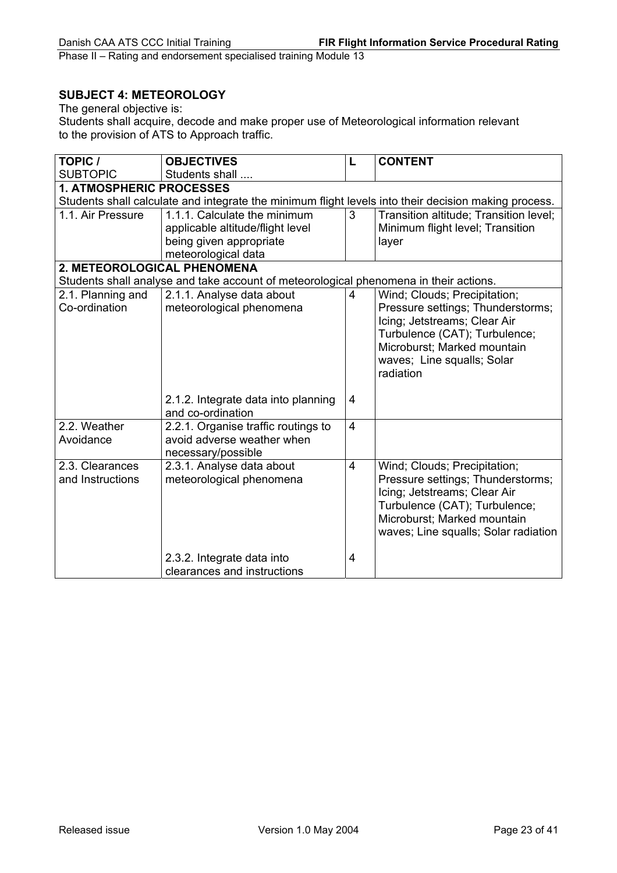#### **SUBJECT 4: METEOROLOGY**

The general objective is:

Students shall acquire, decode and make proper use of Meteorological information relevant to the provision of ATS to Approach traffic.

| <b>TOPIC /</b>                  | <b>OBJECTIVES</b>                                                                                    | L              | <b>CONTENT</b>                         |
|---------------------------------|------------------------------------------------------------------------------------------------------|----------------|----------------------------------------|
| <b>SUBTOPIC</b>                 | Students shall                                                                                       |                |                                        |
| <b>1. ATMOSPHERIC PROCESSES</b> |                                                                                                      |                |                                        |
|                                 | Students shall calculate and integrate the minimum flight levels into their decision making process. |                |                                        |
| 1.1. Air Pressure               | 1.1.1. Calculate the minimum                                                                         | 3              | Transition altitude; Transition level; |
|                                 | applicable altitude/flight level                                                                     |                | Minimum flight level; Transition       |
|                                 | being given appropriate                                                                              |                | layer                                  |
|                                 | meteorological data                                                                                  |                |                                        |
| 2. METEOROLOGICAL PHENOMENA     |                                                                                                      |                |                                        |
|                                 | Students shall analyse and take account of meteorological phenomena in their actions.                |                |                                        |
| 2.1. Planning and               | 2.1.1. Analyse data about                                                                            | $\overline{4}$ | Wind; Clouds; Precipitation;           |
| Co-ordination                   | meteorological phenomena                                                                             |                | Pressure settings; Thunderstorms;      |
|                                 |                                                                                                      |                | Icing; Jetstreams; Clear Air           |
|                                 |                                                                                                      |                | Turbulence (CAT); Turbulence;          |
|                                 |                                                                                                      |                | Microburst; Marked mountain            |
|                                 |                                                                                                      |                | waves; Line squalls; Solar             |
|                                 |                                                                                                      |                | radiation                              |
|                                 |                                                                                                      |                |                                        |
|                                 | 2.1.2. Integrate data into planning                                                                  | 4              |                                        |
|                                 | and co-ordination                                                                                    |                |                                        |
| 2.2. Weather                    | 2.2.1. Organise traffic routings to                                                                  | $\overline{4}$ |                                        |
| Avoidance                       | avoid adverse weather when                                                                           |                |                                        |
|                                 | necessary/possible                                                                                   |                |                                        |
| 2.3. Clearances                 | 2.3.1. Analyse data about                                                                            | 4              | Wind; Clouds; Precipitation;           |
| and Instructions                | meteorological phenomena                                                                             |                | Pressure settings; Thunderstorms;      |
|                                 |                                                                                                      |                | Icing; Jetstreams; Clear Air           |
|                                 |                                                                                                      |                | Turbulence (CAT); Turbulence;          |
|                                 |                                                                                                      |                | Microburst; Marked mountain            |
|                                 |                                                                                                      |                | waves; Line squalls; Solar radiation   |
|                                 |                                                                                                      |                |                                        |
|                                 | 2.3.2. Integrate data into                                                                           | 4              |                                        |
|                                 | clearances and instructions                                                                          |                |                                        |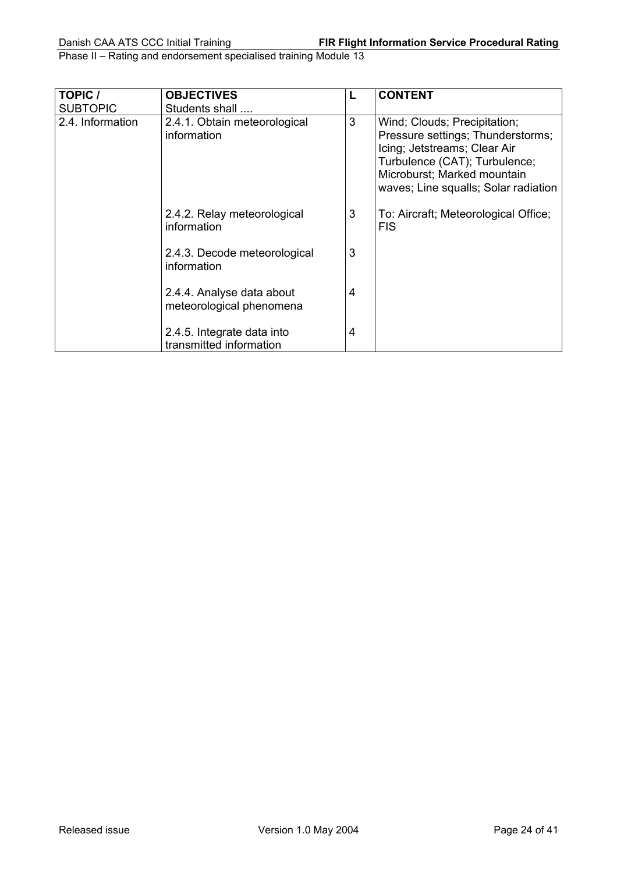| <b>TOPIC /</b><br><b>SUBTOPIC</b> | <b>OBJECTIVES</b><br>Students shall                   |   | <b>CONTENT</b>                                                                                                                                                                                            |
|-----------------------------------|-------------------------------------------------------|---|-----------------------------------------------------------------------------------------------------------------------------------------------------------------------------------------------------------|
| 2.4. Information                  | 2.4.1. Obtain meteorological<br>information           | 3 | Wind; Clouds; Precipitation;<br>Pressure settings; Thunderstorms;<br>Icing; Jetstreams; Clear Air<br>Turbulence (CAT); Turbulence;<br>Microburst; Marked mountain<br>waves; Line squalls; Solar radiation |
|                                   | 2.4.2. Relay meteorological<br>information            | 3 | To: Aircraft; Meteorological Office;<br><b>FIS</b>                                                                                                                                                        |
|                                   | 2.4.3. Decode meteorological<br>information           | 3 |                                                                                                                                                                                                           |
|                                   | 2.4.4. Analyse data about<br>meteorological phenomena | 4 |                                                                                                                                                                                                           |
|                                   | 2.4.5. Integrate data into<br>transmitted information | 4 |                                                                                                                                                                                                           |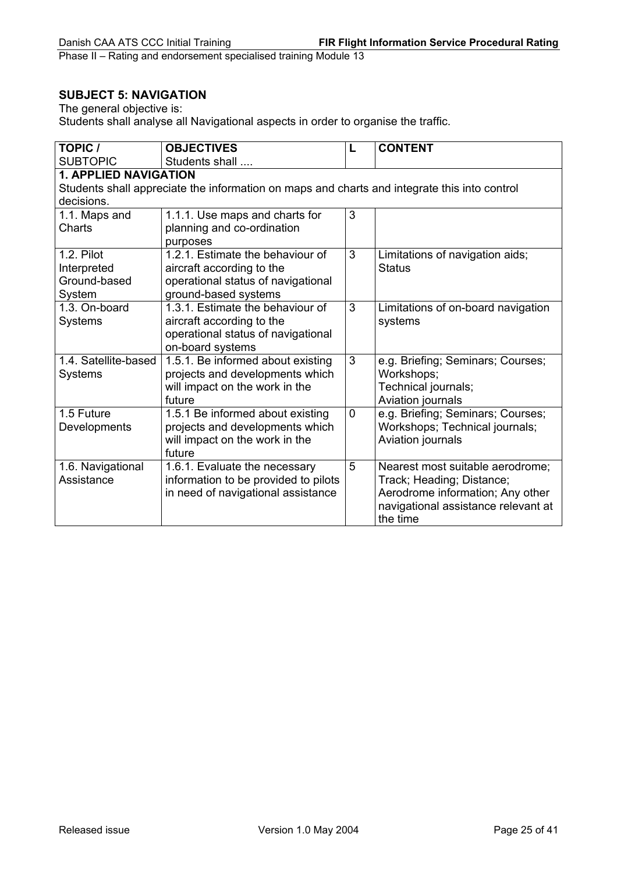#### **SUBJECT 5: NAVIGATION**

The general objective is:

Students shall analyse all Navigational aspects in order to organise the traffic.

| <b>TOPIC /</b>               | <b>OBJECTIVES</b>                                                                            | L           | <b>CONTENT</b>                      |
|------------------------------|----------------------------------------------------------------------------------------------|-------------|-------------------------------------|
| <b>SUBTOPIC</b>              | Students shall                                                                               |             |                                     |
| <b>1. APPLIED NAVIGATION</b> |                                                                                              |             |                                     |
|                              | Students shall appreciate the information on maps and charts and integrate this into control |             |                                     |
| decisions.                   |                                                                                              |             |                                     |
| 1.1. Maps and                | 1.1.1. Use maps and charts for                                                               | 3           |                                     |
| Charts                       | planning and co-ordination                                                                   |             |                                     |
|                              | purposes                                                                                     |             |                                     |
| 1.2. Pilot                   | 1.2.1. Estimate the behaviour of                                                             | 3           | Limitations of navigation aids;     |
| Interpreted                  | aircraft according to the                                                                    |             | <b>Status</b>                       |
| Ground-based                 | operational status of navigational                                                           |             |                                     |
| System                       | ground-based systems                                                                         |             |                                     |
| 1.3. On-board                | 1.3.1. Estimate the behaviour of                                                             | 3           | Limitations of on-board navigation  |
| <b>Systems</b>               | aircraft according to the                                                                    |             | systems                             |
|                              | operational status of navigational                                                           |             |                                     |
|                              | on-board systems                                                                             |             |                                     |
| 1.4. Satellite-based         | 1.5.1. Be informed about existing                                                            | 3           | e.g. Briefing; Seminars; Courses;   |
| <b>Systems</b>               | projects and developments which                                                              |             | Workshops;                          |
|                              | will impact on the work in the                                                               |             | Technical journals;                 |
|                              | future                                                                                       |             | Aviation journals                   |
| 1.5 Future                   | 1.5.1 Be informed about existing                                                             | $\mathbf 0$ | e.g. Briefing; Seminars; Courses;   |
| Developments                 | projects and developments which                                                              |             | Workshops; Technical journals;      |
|                              | will impact on the work in the                                                               |             | Aviation journals                   |
|                              | future                                                                                       |             |                                     |
| 1.6. Navigational            | 1.6.1. Evaluate the necessary                                                                | 5           | Nearest most suitable aerodrome;    |
| Assistance                   | information to be provided to pilots                                                         |             | Track; Heading; Distance;           |
|                              | in need of navigational assistance                                                           |             | Aerodrome information; Any other    |
|                              |                                                                                              |             | navigational assistance relevant at |
|                              |                                                                                              |             | the time                            |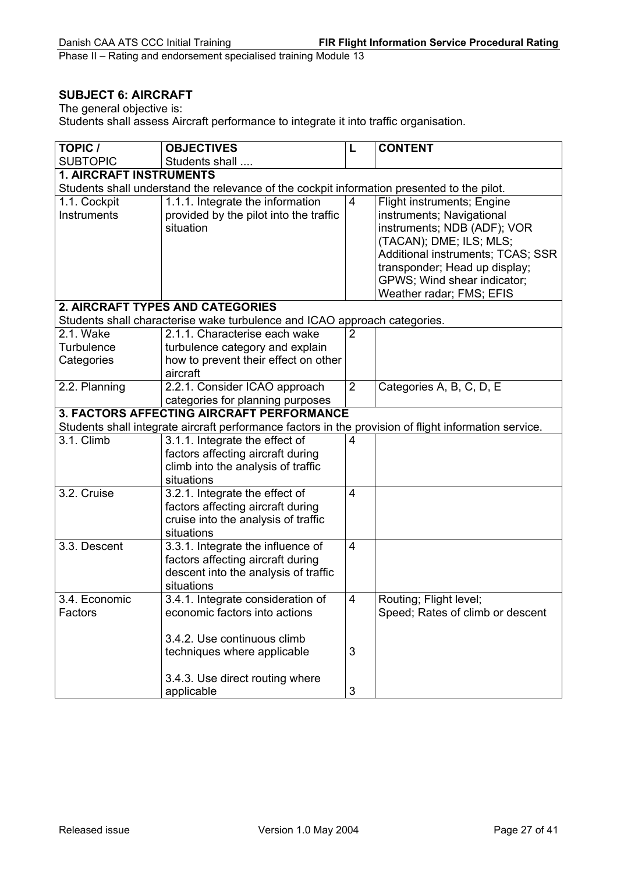#### **SUBJECT 6: AIRCRAFT**

The general objective is:

Students shall assess Aircraft performance to integrate it into traffic organisation.

| TOPIC /                        | <b>OBJECTIVES</b>                                                                                     | L                       | <b>CONTENT</b>                    |
|--------------------------------|-------------------------------------------------------------------------------------------------------|-------------------------|-----------------------------------|
| <b>SUBTOPIC</b>                | Students shall                                                                                        |                         |                                   |
| <b>1. AIRCRAFT INSTRUMENTS</b> |                                                                                                       |                         |                                   |
|                                | Students shall understand the relevance of the cockpit information presented to the pilot.            |                         |                                   |
| 1.1. Cockpit                   | 1.1.1. Integrate the information                                                                      | 4                       | <b>Flight instruments; Engine</b> |
| Instruments                    | provided by the pilot into the traffic                                                                |                         | instruments; Navigational         |
|                                | situation                                                                                             |                         | instruments; NDB (ADF); VOR       |
|                                |                                                                                                       |                         | (TACAN); DME; ILS; MLS;           |
|                                |                                                                                                       |                         | Additional instruments; TCAS; SSR |
|                                |                                                                                                       |                         | transponder; Head up display;     |
|                                |                                                                                                       |                         | GPWS; Wind shear indicator;       |
|                                |                                                                                                       |                         | Weather radar; FMS; EFIS          |
|                                | 2. AIRCRAFT TYPES AND CATEGORIES                                                                      |                         |                                   |
|                                | Students shall characterise wake turbulence and ICAO approach categories.                             |                         |                                   |
| 2.1. Wake                      | 2.1.1. Characterise each wake                                                                         | $\overline{2}$          |                                   |
| Turbulence                     | turbulence category and explain                                                                       |                         |                                   |
| Categories                     | how to prevent their effect on other                                                                  |                         |                                   |
|                                | aircraft                                                                                              |                         |                                   |
| 2.2. Planning                  | 2.2.1. Consider ICAO approach                                                                         | $\overline{2}$          | Categories A, B, C, D, E          |
|                                | categories for planning purposes                                                                      |                         |                                   |
|                                | 3. FACTORS AFFECTING AIRCRAFT PERFORMANCE                                                             |                         |                                   |
|                                | Students shall integrate aircraft performance factors in the provision of flight information service. |                         |                                   |
| 3.1. Climb                     | 3.1.1. Integrate the effect of                                                                        | 4                       |                                   |
|                                | factors affecting aircraft during                                                                     |                         |                                   |
|                                | climb into the analysis of traffic                                                                    |                         |                                   |
|                                | situations                                                                                            |                         |                                   |
| 3.2. Cruise                    | 3.2.1. Integrate the effect of                                                                        | $\overline{4}$          |                                   |
|                                | factors affecting aircraft during                                                                     |                         |                                   |
|                                | cruise into the analysis of traffic                                                                   |                         |                                   |
|                                | situations                                                                                            |                         |                                   |
| 3.3. Descent                   | 3.3.1. Integrate the influence of                                                                     | $\overline{4}$          |                                   |
|                                | factors affecting aircraft during                                                                     |                         |                                   |
|                                | descent into the analysis of traffic                                                                  |                         |                                   |
|                                | situations                                                                                            |                         |                                   |
| 3.4. Economic                  | 3.4.1. Integrate consideration of                                                                     | $\overline{\mathbf{4}}$ | Routing: Flight level;            |
| Factors                        | economic factors into actions                                                                         |                         | Speed; Rates of climb or descent  |
|                                | 3.4.2. Use continuous climb                                                                           |                         |                                   |
|                                | techniques where applicable                                                                           | 3                       |                                   |
|                                |                                                                                                       |                         |                                   |
|                                | 3.4.3. Use direct routing where                                                                       |                         |                                   |
|                                | applicable                                                                                            | $\sqrt{3}$              |                                   |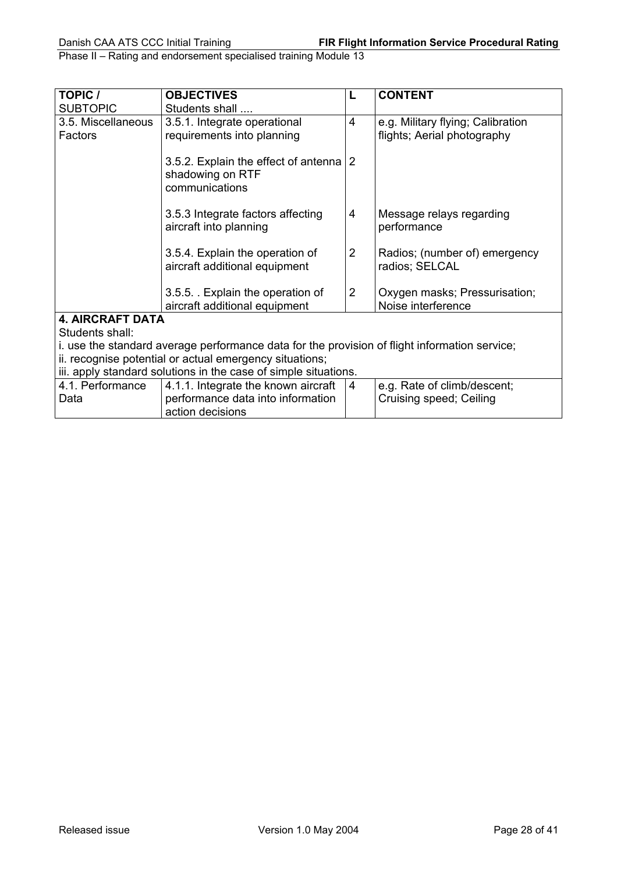| TOPIC /                 | <b>OBJECTIVES</b>                                                                             |                | <b>CONTENT</b>                          |
|-------------------------|-----------------------------------------------------------------------------------------------|----------------|-----------------------------------------|
| <b>SUBTOPIC</b>         | Students shall                                                                                |                |                                         |
| 3.5. Miscellaneous      | 3.5.1. Integrate operational                                                                  | 4              | e.g. Military flying; Calibration       |
| Factors                 | requirements into planning                                                                    |                | flights; Aerial photography             |
|                         |                                                                                               |                |                                         |
|                         | 3.5.2. Explain the effect of antenna 2                                                        |                |                                         |
|                         | shadowing on RTF                                                                              |                |                                         |
|                         | communications                                                                                |                |                                         |
|                         |                                                                                               | 4              |                                         |
|                         | 3.5.3 Integrate factors affecting<br>aircraft into planning                                   |                | Message relays regarding<br>performance |
|                         |                                                                                               |                |                                         |
|                         | 3.5.4. Explain the operation of                                                               | $\overline{2}$ | Radios; (number of) emergency           |
|                         | aircraft additional equipment                                                                 |                | radios; SELCAL                          |
|                         |                                                                                               |                |                                         |
|                         | 3.5.5. Explain the operation of                                                               | $\overline{2}$ | Oxygen masks; Pressurisation;           |
|                         | aircraft additional equipment                                                                 |                | Noise interference                      |
| <b>4. AIRCRAFT DATA</b> |                                                                                               |                |                                         |
| Students shall:         |                                                                                               |                |                                         |
|                         | i. use the standard average performance data for the provision of flight information service; |                |                                         |
|                         | ii. recognise potential or actual emergency situations;                                       |                |                                         |
|                         | iii. apply standard solutions in the case of simple situations.                               |                |                                         |
| 4.1. Performance        | 4.1.1. Integrate the known aircraft                                                           | $\overline{4}$ | e.g. Rate of climb/descent;             |
| Data                    | performance data into information                                                             |                | Cruising speed; Ceiling                 |
|                         | action decisions                                                                              |                |                                         |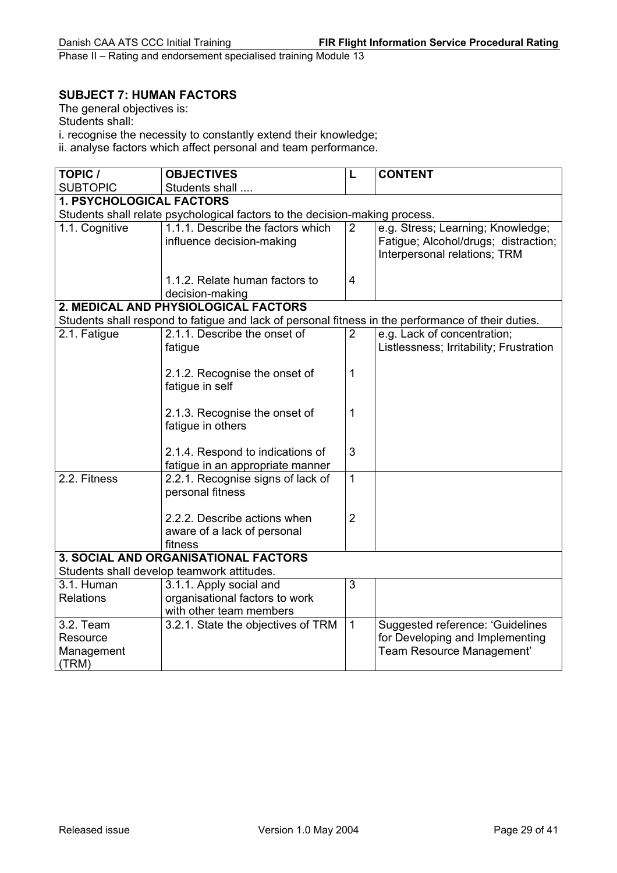### **SUBJECT 7: HUMAN FACTORS**

The general objectives is:

Students shall:

i. recognise the necessity to constantly extend their knowledge;

ii. analyse factors which affect personal and team performance.

| <b>TOPIC /</b>                  | <b>OBJECTIVES</b>                                                                                  | L              | <b>CONTENT</b>                          |
|---------------------------------|----------------------------------------------------------------------------------------------------|----------------|-----------------------------------------|
| <b>SUBTOPIC</b>                 | Students shall                                                                                     |                |                                         |
| <b>1. PSYCHOLOGICAL FACTORS</b> |                                                                                                    |                |                                         |
|                                 | Students shall relate psychological factors to the decision-making process.                        |                |                                         |
| 1.1. Cognitive                  | 1.1.1. Describe the factors which                                                                  | $\overline{2}$ | e.g. Stress; Learning; Knowledge;       |
|                                 | influence decision-making                                                                          |                | Fatigue; Alcohol/drugs; distraction;    |
|                                 |                                                                                                    |                | Interpersonal relations; TRM            |
|                                 |                                                                                                    |                |                                         |
|                                 | 1.1.2. Relate human factors to                                                                     | 4              |                                         |
|                                 | decision-making                                                                                    |                |                                         |
|                                 | 2. MEDICAL AND PHYSIOLOGICAL FACTORS                                                               |                |                                         |
|                                 | Students shall respond to fatigue and lack of personal fitness in the performance of their duties. |                |                                         |
| 2.1. Fatigue                    | 2.1.1. Describe the onset of                                                                       | $\overline{2}$ | e.g. Lack of concentration;             |
|                                 | fatigue                                                                                            |                | Listlessness; Irritability; Frustration |
|                                 |                                                                                                    |                |                                         |
|                                 | 2.1.2. Recognise the onset of                                                                      | 1              |                                         |
|                                 | fatigue in self                                                                                    |                |                                         |
|                                 |                                                                                                    |                |                                         |
|                                 | 2.1.3. Recognise the onset of                                                                      | 1              |                                         |
|                                 | fatigue in others                                                                                  |                |                                         |
|                                 |                                                                                                    |                |                                         |
|                                 | 2.1.4. Respond to indications of                                                                   | 3              |                                         |
| 2.2. Fitness                    | fatigue in an appropriate manner                                                                   |                |                                         |
|                                 | 2.2.1. Recognise signs of lack of                                                                  | $\mathbf{1}$   |                                         |
|                                 | personal fitness                                                                                   |                |                                         |
|                                 | 2.2.2. Describe actions when                                                                       | $\overline{2}$ |                                         |
|                                 | aware of a lack of personal                                                                        |                |                                         |
|                                 | fitness                                                                                            |                |                                         |
|                                 | 3. SOCIAL AND ORGANISATIONAL FACTORS                                                               |                |                                         |
|                                 | Students shall develop teamwork attitudes.                                                         |                |                                         |
| 3.1. Human                      | 3.1.1. Apply social and                                                                            | 3              |                                         |
| <b>Relations</b>                | organisational factors to work                                                                     |                |                                         |
|                                 | with other team members                                                                            |                |                                         |
| 3.2. Team                       | 3.2.1. State the objectives of TRM                                                                 | $\mathbf{1}$   | Suggested reference: 'Guidelines        |
| Resource                        |                                                                                                    |                | for Developing and Implementing         |
| Management                      |                                                                                                    |                | Team Resource Management'               |
| (TRM)                           |                                                                                                    |                |                                         |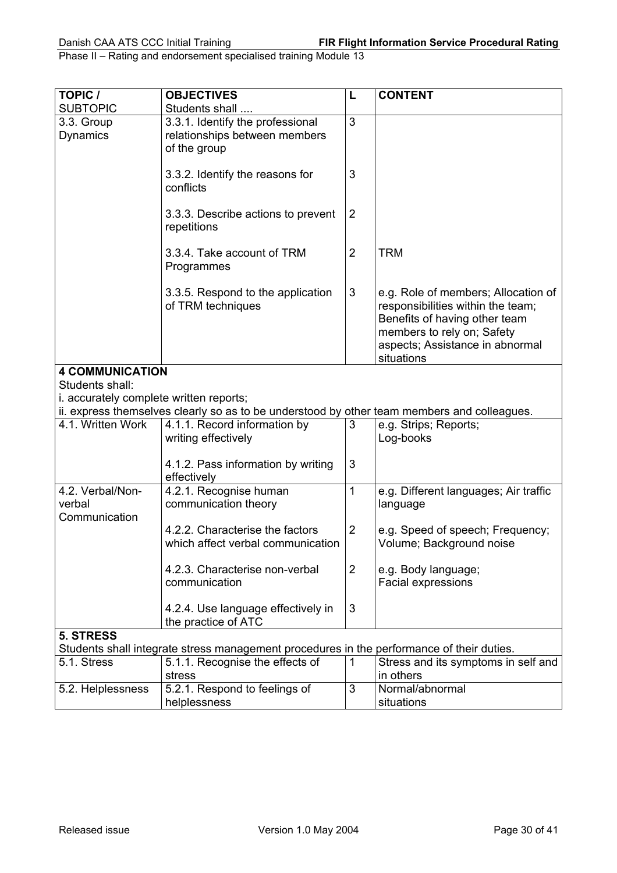| <b>TOPIC /</b>                          | <b>OBJECTIVES</b>                                                                           | L              | <b>CONTENT</b>                                   |
|-----------------------------------------|---------------------------------------------------------------------------------------------|----------------|--------------------------------------------------|
| <b>SUBTOPIC</b>                         | Students shall                                                                              |                |                                                  |
| 3.3. Group                              | 3.3.1. Identify the professional                                                            | 3              |                                                  |
| Dynamics                                | relationships between members                                                               |                |                                                  |
|                                         | of the group                                                                                |                |                                                  |
|                                         |                                                                                             |                |                                                  |
|                                         | 3.3.2. Identify the reasons for                                                             | 3              |                                                  |
|                                         | conflicts                                                                                   |                |                                                  |
|                                         |                                                                                             |                |                                                  |
|                                         | 3.3.3. Describe actions to prevent                                                          | $\overline{2}$ |                                                  |
|                                         | repetitions                                                                                 |                |                                                  |
|                                         |                                                                                             |                |                                                  |
|                                         | 3.3.4. Take account of TRM                                                                  | 2              | <b>TRM</b>                                       |
|                                         | Programmes                                                                                  |                |                                                  |
|                                         |                                                                                             |                |                                                  |
|                                         | 3.3.5. Respond to the application                                                           | 3              | e.g. Role of members; Allocation of              |
|                                         | of TRM techniques                                                                           |                | responsibilities within the team;                |
|                                         |                                                                                             |                | Benefits of having other team                    |
|                                         |                                                                                             |                | members to rely on; Safety                       |
|                                         |                                                                                             |                | aspects; Assistance in abnormal                  |
|                                         |                                                                                             |                | situations                                       |
| <b>4 COMMUNICATION</b>                  |                                                                                             |                |                                                  |
| Students shall:                         |                                                                                             |                |                                                  |
| i. accurately complete written reports; |                                                                                             |                |                                                  |
|                                         | ii. express themselves clearly so as to be understood by other team members and colleagues. |                |                                                  |
| 4.1. Written Work                       | 4.1.1. Record information by                                                                | 3              | e.g. Strips; Reports;                            |
|                                         | writing effectively                                                                         |                | Log-books                                        |
|                                         |                                                                                             |                |                                                  |
|                                         | 4.1.2. Pass information by writing                                                          | 3              |                                                  |
|                                         | effectively                                                                                 |                |                                                  |
| 4.2. Verbal/Non-                        | 4.2.1. Recognise human                                                                      | 1              | e.g. Different languages; Air traffic            |
| verbal                                  | communication theory                                                                        |                | language                                         |
| Communication                           |                                                                                             |                |                                                  |
|                                         | 4.2.2. Characterise the factors                                                             | $\overline{2}$ | e.g. Speed of speech; Frequency;                 |
|                                         | which affect verbal communication                                                           |                | Volume; Background noise                         |
|                                         | 4.2.3. Characterise non-verbal                                                              | $\overline{2}$ |                                                  |
|                                         | communication                                                                               |                | e.g. Body language;<br><b>Facial expressions</b> |
|                                         |                                                                                             |                |                                                  |
|                                         |                                                                                             |                |                                                  |
|                                         |                                                                                             |                |                                                  |
|                                         | 4.2.4. Use language effectively in                                                          | 3              |                                                  |
|                                         | the practice of ATC                                                                         |                |                                                  |
| <b>5. STRESS</b>                        |                                                                                             |                |                                                  |
|                                         | Students shall integrate stress management procedures in the performance of their duties.   |                |                                                  |
| 5.1. Stress                             | 5.1.1. Recognise the effects of                                                             | 1              | Stress and its symptoms in self and              |
| 5.2. Helplessness                       | stress<br>5.2.1. Respond to feelings of                                                     | 3              | in others<br>Normal/abnormal                     |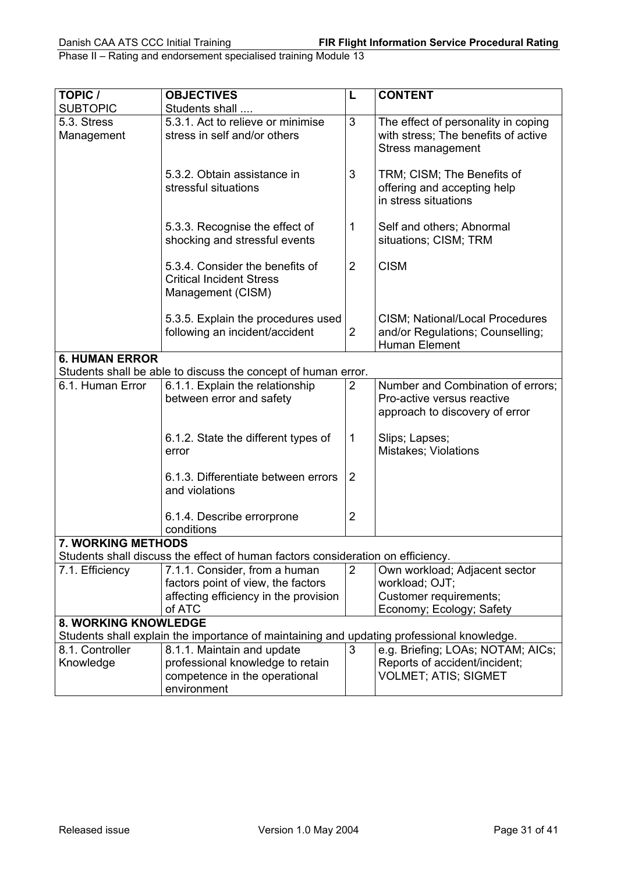| <b>TOPIC /</b>               | <b>OBJECTIVES</b>                                                                         | L              | <b>CONTENT</b>                                                                                    |  |
|------------------------------|-------------------------------------------------------------------------------------------|----------------|---------------------------------------------------------------------------------------------------|--|
| <b>SUBTOPIC</b>              | Students shall                                                                            |                |                                                                                                   |  |
| 5.3. Stress                  | 5.3.1. Act to relieve or minimise                                                         | 3              | The effect of personality in coping                                                               |  |
| Management                   | stress in self and/or others                                                              |                | with stress; The benefits of active<br>Stress management                                          |  |
|                              | 5.3.2. Obtain assistance in<br>stressful situations                                       | 3              | TRM; CISM; The Benefits of<br>offering and accepting help<br>in stress situations                 |  |
|                              | 5.3.3. Recognise the effect of<br>shocking and stressful events                           | $\mathbf{1}$   | Self and others; Abnormal<br>situations; CISM; TRM                                                |  |
|                              | 5.3.4. Consider the benefits of<br><b>Critical Incident Stress</b><br>Management (CISM)   | $\overline{2}$ | <b>CISM</b>                                                                                       |  |
|                              | 5.3.5. Explain the procedures used<br>following an incident/accident                      | $\overline{2}$ | CISM; National/Local Procedures<br>and/or Regulations; Counselling;<br>Human Element              |  |
| <b>6. HUMAN ERROR</b>        |                                                                                           |                |                                                                                                   |  |
|                              | Students shall be able to discuss the concept of human error.                             |                |                                                                                                   |  |
| 6.1. Human Error             | 6.1.1. Explain the relationship<br>between error and safety                               | $\overline{2}$ | Number and Combination of errors;<br>Pro-active versus reactive<br>approach to discovery of error |  |
|                              | 6.1.2. State the different types of<br>error                                              | 1              | Slips; Lapses;<br>Mistakes; Violations                                                            |  |
|                              | 6.1.3. Differentiate between errors<br>and violations                                     | 2              |                                                                                                   |  |
|                              | 6.1.4. Describe errorprone<br>conditions                                                  | $\overline{2}$ |                                                                                                   |  |
| 7. WORKING METHODS           |                                                                                           |                |                                                                                                   |  |
|                              | Students shall discuss the effect of human factors consideration on efficiency.           |                |                                                                                                   |  |
| 7.1. Efficiency              | 7.1.1. Consider, from a human                                                             | $\overline{2}$ | Own workload; Adjacent sector                                                                     |  |
|                              | factors point of view, the factors                                                        |                | workload; OJT;                                                                                    |  |
|                              | affecting efficiency in the provision                                                     |                | Customer requirements;                                                                            |  |
|                              | of ATC                                                                                    |                | Economy; Ecology; Safety                                                                          |  |
| <b>8. WORKING KNOWLEDGE</b>  |                                                                                           |                |                                                                                                   |  |
|                              | Students shall explain the importance of maintaining and updating professional knowledge. | 3              |                                                                                                   |  |
| 8.1. Controller<br>Knowledge | 8.1.1. Maintain and update                                                                |                | e.g. Briefing; LOAs; NOTAM; AICs;<br>Reports of accident/incident;                                |  |
|                              | professional knowledge to retain<br>competence in the operational                         |                | <b>VOLMET; ATIS; SIGMET</b>                                                                       |  |
|                              | environment                                                                               |                |                                                                                                   |  |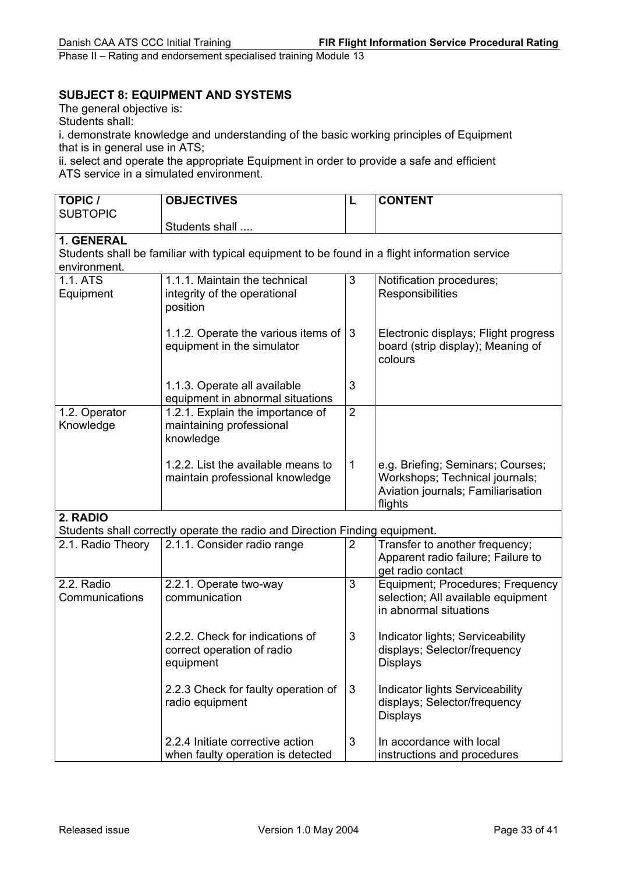### **SUBJECT 8: EQUIPMENT AND SYSTEMS**

The general objective is:

Students shall:

i. demonstrate knowledge and understanding of the basic working principles of Equipment that is in general use in ATS;

ii. select and operate the appropriate Equipment in order to provide a safe and efficient ATS service in a simulated environment.

| TOPIC /                    | <b>OBJECTIVES</b>                                                                             | L              | <b>CONTENT</b>                                                       |
|----------------------------|-----------------------------------------------------------------------------------------------|----------------|----------------------------------------------------------------------|
| <b>SUBTOPIC</b>            |                                                                                               |                |                                                                      |
|                            | Students shall                                                                                |                |                                                                      |
| 1. GENERAL                 |                                                                                               |                |                                                                      |
|                            | Students shall be familiar with typical equipment to be found in a flight information service |                |                                                                      |
| environment.               |                                                                                               |                |                                                                      |
| 1.1. ATS<br>Equipment      | 1.1.1. Maintain the technical<br>integrity of the operational                                 | 3              | Notification procedures;<br>Responsibilities                         |
|                            | position                                                                                      |                |                                                                      |
|                            | 1.1.2. Operate the various items of                                                           | $\mathbf{3}$   | Electronic displays; Flight progress                                 |
|                            | equipment in the simulator                                                                    |                | board (strip display); Meaning of<br>colours                         |
|                            |                                                                                               |                |                                                                      |
|                            | 1.1.3. Operate all available                                                                  | 3              |                                                                      |
|                            | equipment in abnormal situations                                                              | $\overline{2}$ |                                                                      |
| 1.2. Operator<br>Knowledge | 1.2.1. Explain the importance of<br>maintaining professional                                  |                |                                                                      |
|                            | knowledge                                                                                     |                |                                                                      |
|                            |                                                                                               |                |                                                                      |
|                            | 1.2.2. List the available means to<br>maintain professional knowledge                         | 1              | e.g. Briefing; Seminars; Courses;<br>Workshops; Technical journals;  |
|                            |                                                                                               |                | Aviation journals; Familiarisation                                   |
|                            |                                                                                               |                | flights                                                              |
| 2. RADIO                   |                                                                                               |                |                                                                      |
|                            | Students shall correctly operate the radio and Direction Finding equipment.                   |                |                                                                      |
| 2.1. Radio Theory          | 2.1.1. Consider radio range                                                                   | $\overline{2}$ | Transfer to another frequency;<br>Apparent radio failure; Failure to |
|                            |                                                                                               |                | get radio contact                                                    |
| 2.2. Radio                 | 2.2.1. Operate two-way                                                                        | 3              | Equipment; Procedures; Frequency                                     |
| Communications             | communication                                                                                 |                | selection; All available equipment                                   |
|                            |                                                                                               |                | in abnormal situations                                               |
|                            | 2.2.2. Check for indications of                                                               | 3              | Indicator lights; Serviceability                                     |
|                            | correct operation of radio                                                                    |                | displays; Selector/frequency                                         |
|                            | equipment                                                                                     |                | <b>Displays</b>                                                      |
|                            | 2.2.3 Check for faulty operation of                                                           | $\mathfrak{S}$ | <b>Indicator lights Serviceability</b>                               |
|                            | radio equipment                                                                               |                | displays; Selector/frequency<br><b>Displays</b>                      |
|                            | 2.2.4 Initiate corrective action                                                              | 3              | In accordance with local                                             |
|                            | when faulty operation is detected                                                             |                | instructions and procedures                                          |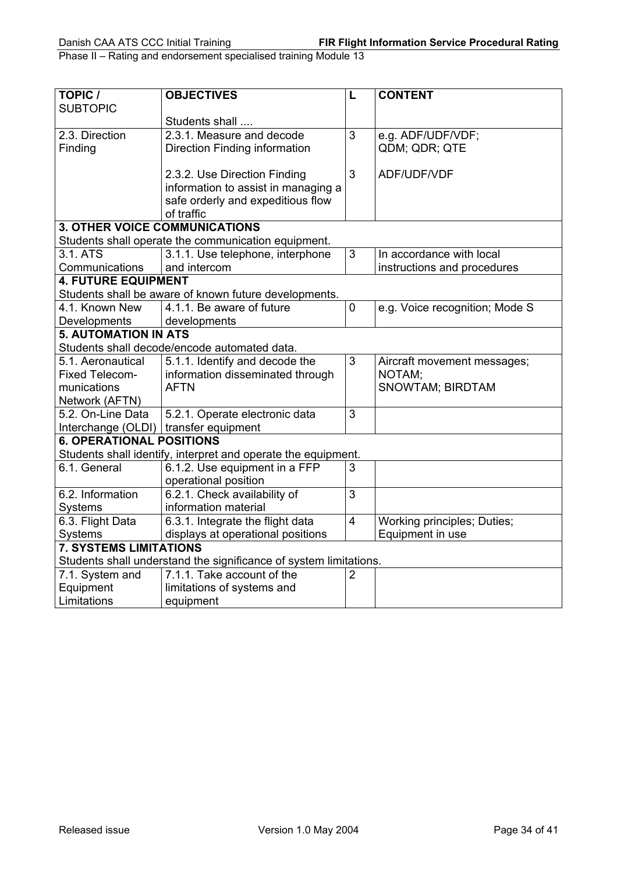| TOPIC /                              | <b>OBJECTIVES</b>                                                 | L                       | <b>CONTENT</b>                 |
|--------------------------------------|-------------------------------------------------------------------|-------------------------|--------------------------------|
| <b>SUBTOPIC</b>                      |                                                                   |                         |                                |
|                                      | Students shall<br>2.3.1. Measure and decode                       |                         |                                |
| 2.3. Direction                       |                                                                   | 3                       | e.g. ADF/UDF/VDF;              |
| Finding                              | Direction Finding information                                     |                         | QDM; QDR; QTE                  |
|                                      |                                                                   | 3                       |                                |
|                                      | 2.3.2. Use Direction Finding                                      |                         | ADF/UDF/VDF                    |
|                                      | information to assist in managing a                               |                         |                                |
|                                      | safe orderly and expeditious flow<br>of traffic                   |                         |                                |
| <b>3. OTHER VOICE COMMUNICATIONS</b> |                                                                   |                         |                                |
|                                      | Students shall operate the communication equipment.               |                         |                                |
| 3.1. ATS                             | 3.1.1. Use telephone, interphone                                  | 3                       | In accordance with local       |
| Communications                       | and intercom                                                      |                         | instructions and procedures    |
| <b>4. FUTURE EQUIPMENT</b>           |                                                                   |                         |                                |
|                                      | Students shall be aware of known future developments.             |                         |                                |
| 4.1. Known New                       | 4.1.1. Be aware of future                                         | $\mathbf 0$             | e.g. Voice recognition; Mode S |
| Developments                         | developments                                                      |                         |                                |
| <b>5. AUTOMATION IN ATS</b>          |                                                                   |                         |                                |
|                                      | Students shall decode/encode automated data.                      |                         |                                |
| 5.1. Aeronautical                    | 5.1.1. Identify and decode the                                    | 3                       | Aircraft movement messages;    |
| <b>Fixed Telecom-</b>                | information disseminated through                                  |                         | NOTAM:                         |
| munications                          | <b>AFTN</b>                                                       |                         | SNOWTAM; BIRDTAM               |
| Network (AFTN)                       |                                                                   |                         |                                |
| 5.2. On-Line Data                    | 5.2.1. Operate electronic data                                    | 3                       |                                |
| Interchange (OLDI)                   | transfer equipment                                                |                         |                                |
| <b>6. OPERATIONAL POSITIONS</b>      |                                                                   |                         |                                |
|                                      | Students shall identify, interpret and operate the equipment.     |                         |                                |
| 6.1. General                         | 6.1.2. Use equipment in a FFP                                     | 3                       |                                |
|                                      | operational position                                              |                         |                                |
| 6.2. Information                     | 6.2.1. Check availability of                                      | $\overline{3}$          |                                |
| <b>Systems</b>                       | information material                                              |                         |                                |
| 6.3. Flight Data                     | 6.3.1. Integrate the flight data                                  | $\overline{\mathbf{4}}$ | Working principles; Duties;    |
| Systems                              | displays at operational positions                                 |                         | Equipment in use               |
| <b>7. SYSTEMS LIMITATIONS</b>        |                                                                   |                         |                                |
|                                      | Students shall understand the significance of system limitations. |                         |                                |
| 7.1. System and                      | 7.1.1. Take account of the                                        | $\overline{2}$          |                                |
| Equipment                            | limitations of systems and                                        |                         |                                |
| Limitations                          | equipment                                                         |                         |                                |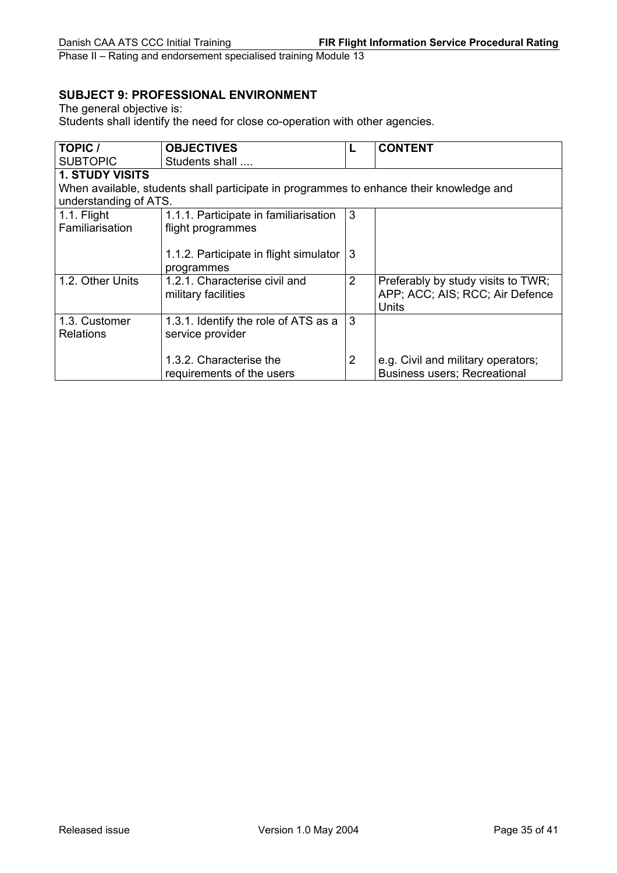#### **SUBJECT 9: PROFESSIONAL ENVIRONMENT**

The general objective is:

Students shall identify the need for close co-operation with other agencies.

| TOPIC /                                                                                 | <b>OBJECTIVES</b>                      |                | <b>CONTENT</b>                      |  |  |
|-----------------------------------------------------------------------------------------|----------------------------------------|----------------|-------------------------------------|--|--|
| <b>SUBTOPIC</b>                                                                         | Students shall                         |                |                                     |  |  |
| <b>1. STUDY VISITS</b>                                                                  |                                        |                |                                     |  |  |
| When available, students shall participate in programmes to enhance their knowledge and |                                        |                |                                     |  |  |
| understanding of ATS.                                                                   |                                        |                |                                     |  |  |
| 1.1. Flight                                                                             | 1.1.1. Participate in familiarisation  | 3              |                                     |  |  |
| Familiarisation                                                                         | flight programmes                      |                |                                     |  |  |
|                                                                                         |                                        |                |                                     |  |  |
|                                                                                         | 1.1.2. Participate in flight simulator | 3              |                                     |  |  |
|                                                                                         | programmes                             |                |                                     |  |  |
| 1.2. Other Units                                                                        | 1.2.1. Characterise civil and          | $\overline{2}$ | Preferably by study visits to TWR;  |  |  |
|                                                                                         | military facilities                    |                | APP; ACC; AIS; RCC; Air Defence     |  |  |
|                                                                                         |                                        |                | <b>Units</b>                        |  |  |
| 1.3. Customer                                                                           | 1.3.1. Identify the role of ATS as a   | 3              |                                     |  |  |
| <b>Relations</b>                                                                        | service provider                       |                |                                     |  |  |
|                                                                                         |                                        |                |                                     |  |  |
|                                                                                         | 1.3.2. Characterise the                | 2              | e.g. Civil and military operators;  |  |  |
|                                                                                         | requirements of the users              |                | <b>Business users; Recreational</b> |  |  |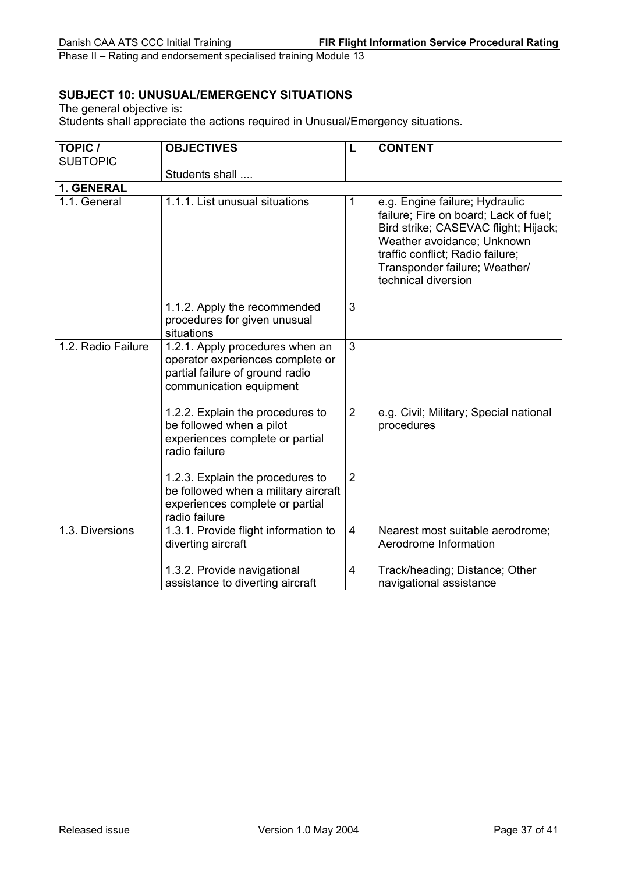### **SUBJECT 10: UNUSUAL/EMERGENCY SITUATIONS**

The general objective is:

Students shall appreciate the actions required in Unusual/Emergency situations.

| TOPIC /            | <b>OBJECTIVES</b>                                                                                                                 | L              | <b>CONTENT</b>                                                                                                                                                                                                                            |
|--------------------|-----------------------------------------------------------------------------------------------------------------------------------|----------------|-------------------------------------------------------------------------------------------------------------------------------------------------------------------------------------------------------------------------------------------|
| <b>SUBTOPIC</b>    |                                                                                                                                   |                |                                                                                                                                                                                                                                           |
|                    | Students shall                                                                                                                    |                |                                                                                                                                                                                                                                           |
| 1. GENERAL         |                                                                                                                                   |                |                                                                                                                                                                                                                                           |
| 1.1. General       | 1.1.1. List unusual situations                                                                                                    | $\mathbf{1}$   | e.g. Engine failure; Hydraulic<br>failure; Fire on board; Lack of fuel;<br>Bird strike; CASEVAC flight; Hijack;<br>Weather avoidance; Unknown<br>traffic conflict; Radio failure;<br>Transponder failure; Weather/<br>technical diversion |
|                    | 1.1.2. Apply the recommended<br>procedures for given unusual<br>situations                                                        | 3              |                                                                                                                                                                                                                                           |
| 1.2. Radio Failure | 1.2.1. Apply procedures when an<br>operator experiences complete or<br>partial failure of ground radio<br>communication equipment | 3              |                                                                                                                                                                                                                                           |
|                    | 1.2.2. Explain the procedures to<br>be followed when a pilot<br>experiences complete or partial<br>radio failure                  | $\overline{2}$ | e.g. Civil; Military; Special national<br>procedures                                                                                                                                                                                      |
|                    | 1.2.3. Explain the procedures to<br>be followed when a military aircraft<br>experiences complete or partial<br>radio failure      | $\overline{2}$ |                                                                                                                                                                                                                                           |
| 1.3. Diversions    | 1.3.1. Provide flight information to<br>diverting aircraft                                                                        | $\overline{4}$ | Nearest most suitable aerodrome;<br>Aerodrome Information                                                                                                                                                                                 |
|                    | 1.3.2. Provide navigational<br>assistance to diverting aircraft                                                                   | 4              | Track/heading; Distance; Other<br>navigational assistance                                                                                                                                                                                 |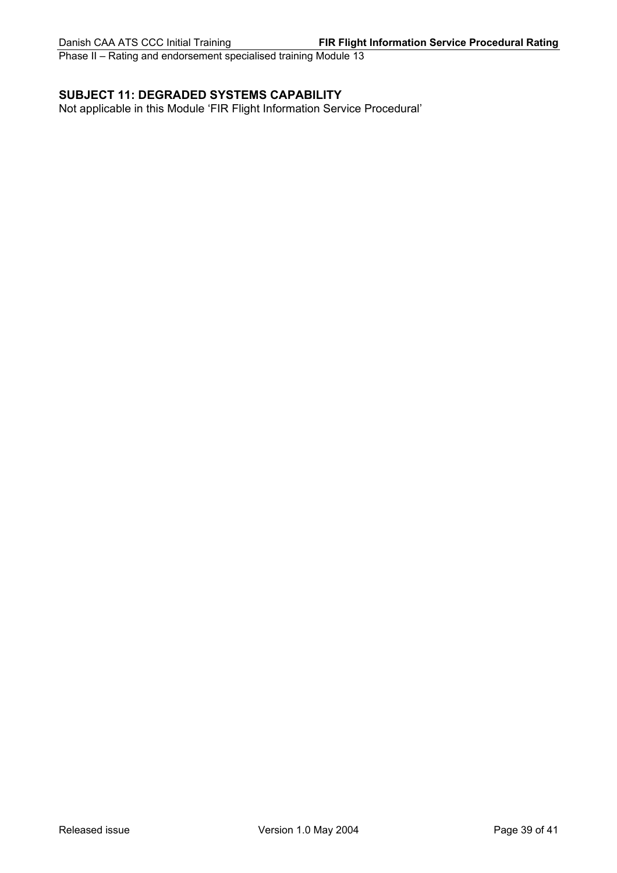#### **SUBJECT 11: DEGRADED SYSTEMS CAPABILITY**

Not applicable in this Module 'FIR Flight Information Service Procedural'